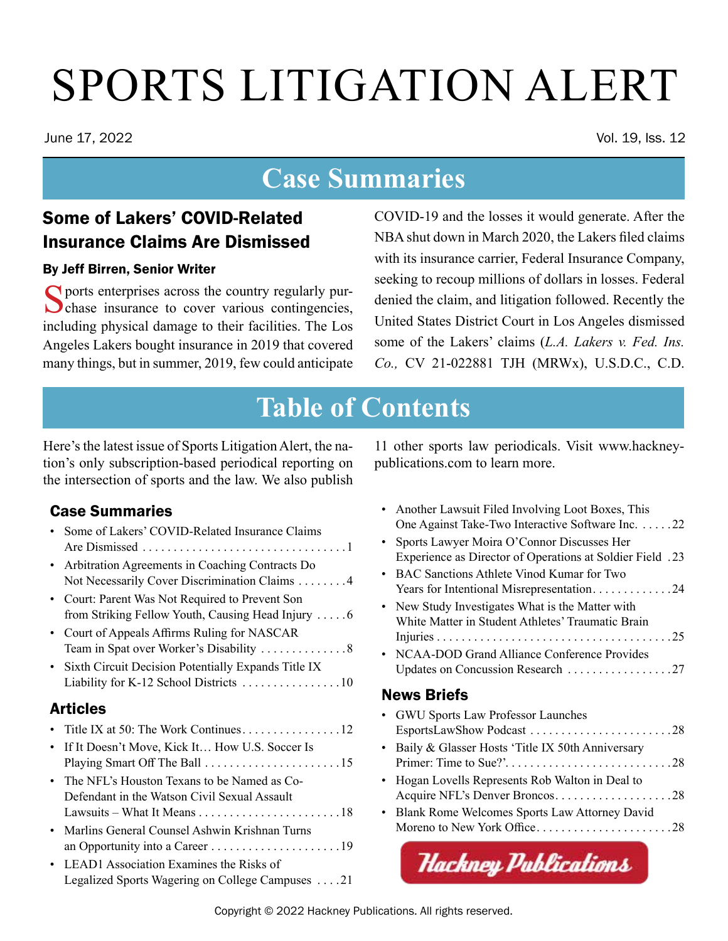# SPORTS LITIGATION ALERT

June 17, 2022 Vol. 19, Iss. 12

## **Case Summaries**

## Some of Lakers' COVID-Related Insurance Claims Are Dismissed

#### By Jeff Birren, Senior Writer

Sports enterprises across the country regularly pur-<br>chase insurance to cover various contingencies, including physical damage to their facilities. The Los Angeles Lakers bought insurance in 2019 that covered many things, but in summer, 2019, few could anticipate

COVID-19 and the losses it would generate. After the NBA shut down in March 2020, the Lakers filed claims with its insurance carrier, Federal Insurance Company, seeking to recoup millions of dollars in losses. Federal denied the claim, and litigation followed. Recently the United States District Court in Los Angeles dismissed some of the Lakers' claims (*L.A. Lakers v. Fed. Ins. Co.,* CV 21-022881 TJH (MRWx), U.S.D.C., C.D.

## **Table of Contents**

Here's the latest issue of Sports Litigation Alert, the nation's only subscription-based periodical reporting on the intersection of sports and the law. We also publish

### Case Summaries

|          | • Some of Lakers' COVID-Related Insurance Claims                                                   |
|----------|----------------------------------------------------------------------------------------------------|
|          | • Arbitration Agreements in Coaching Contracts Do<br>Not Necessarily Cover Discrimination Claims 4 |
|          | • Court: Parent Was Not Required to Prevent Son                                                    |
|          | • Court of Appeals Affirms Ruling for NASCAR                                                       |
|          | • Sixth Circuit Decision Potentially Expands Title IX                                              |
| Articles |                                                                                                    |

### [Articles](#page-11-0)

| • If It Doesn't Move, Kick It How U.S. Soccer Is |
|--------------------------------------------------|
|                                                  |
| • The NFL's Houston Texans to be Named as Co-    |
| Defendant in the Watson Civil Sexual Assault     |
|                                                  |
| • Marlins General Counsel Ashwin Krishnan Turns  |

- [an Opportunity into a Career . . . . . . . . . . . . . . . . . . . . 19](#page-18-0) • [LEAD1 Association Examines the Risks of](#page-20-0)
- [Legalized Sports Wagering on College Campuses . . . 21](#page-20-0)

<span id="page-0-0"></span>11 other sports law periodicals. Visit www.hackneypublications.com to learn more.

- [Another Lawsuit Filed Involving Loot Boxes, This](#page-21-0)  One Against Take-Two Interactive Software Inc. . . . . . 22
- [Sports Lawyer Moira O'Connor Discusses Her](#page-22-0)  [Experience as Director of Operations at Soldier Field. 23](#page-22-0)
- [BAC Sanctions Athlete Vinod Kumar for Two](#page-23-0)  [Years for Intentional Misrepresentation . . . . . . . . . . . . 24](#page-23-0) • [New Study Investigates What is the Matter with](#page-24-0)  [White Matter in Student Athletes' Traumatic Brain](#page-24-0) 
	- [Injuries . . . . . . . . . . . . . . . . . . . . . . . . . . . . . . . . . . . . . 25](#page-24-0)
- [NCAA-DOD Grand Alliance Conference Provides](#page-26-0)  [Updates on Concussion Research . . . . . . . . . . . . . . . . 27](#page-26-0)

### [News Briefs](#page-27-0)

• [GWU Sports Law Professor Launches](#page-27-0)  [EsportsLawShow Podcast . . . . . . . . . . . . . . . . . . . . . . 28](#page-27-0) • [Baily & Glasser Hosts 'Title IX 50th Anniversary](#page-27-0)  [Primer: Time to Sue?'...........................28](#page-27-0) • [Hogan Lovells Represents Rob Walton in Deal to](#page-27-0)  [Acquire NFL's Denver Broncos](#page-27-0)....................28 • [Blank Rome Welcomes Sports Law Attorney David](#page-27-0)  Moreno to New York Office [. . . . . . . . . . . . . . . . . . . . . 28](#page-27-0)

**Hackney Publications** 

Copyright © 2022 [Hackney Publications.](http://hackneypublications.com) All rights reserved.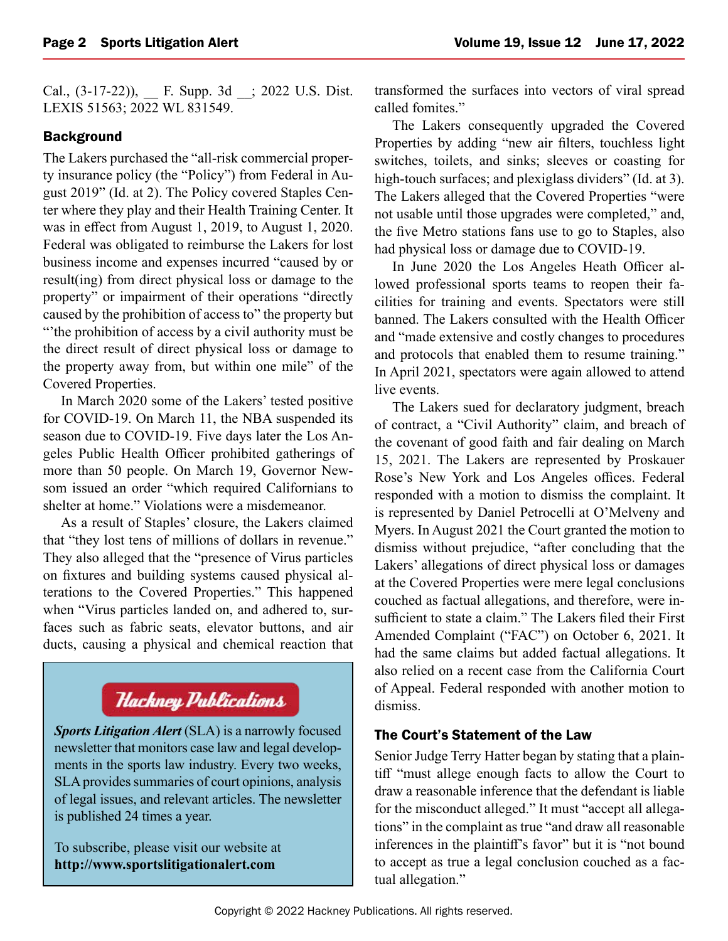Cal., (3-17-22)), \_\_ F. Supp. 3d \_\_; 2022 U.S. Dist. LEXIS 51563; 2022 WL 831549.

#### **Background**

The Lakers purchased the "all-risk commercial property insurance policy (the "Policy") from Federal in August 2019" (Id. at 2). The Policy covered Staples Center where they play and their Health Training Center. It was in effect from August 1, 2019, to August 1, 2020. Federal was obligated to reimburse the Lakers for lost business income and expenses incurred "caused by or result(ing) from direct physical loss or damage to the property" or impairment of their operations "directly caused by the prohibition of access to" the property but "'the prohibition of access by a civil authority must be the direct result of direct physical loss or damage to the property away from, but within one mile" of the Covered Properties.

In March 2020 some of the Lakers' tested positive for COVID-19. On March 11, the NBA suspended its season due to COVID-19. Five days later the Los Angeles Public Health Officer prohibited gatherings of more than 50 people. On March 19, Governor Newsom issued an order "which required Californians to shelter at home." Violations were a misdemeanor.

As a result of Staples' closure, the Lakers claimed that "they lost tens of millions of dollars in revenue." They also alleged that the "presence of Virus particles on fixtures and building systems caused physical alterations to the Covered Properties." This happened when "Virus particles landed on, and adhered to, surfaces such as fabric seats, elevator buttons, and air ducts, causing a physical and chemical reaction that

## **Hackney Publications**

*Sports Litigation Alert* (SLA) is a narrowly focused newsletter that monitors case law and legal developments in the sports law industry. Every two weeks, SLA provides summaries of court opinions, analysis of legal issues, and relevant articles. The newsletter is published 24 times a year.

To subscribe, please visit our website at **<http://www.sportslitigationalert.com>**

transformed the surfaces into vectors of viral spread called fomites."

The Lakers consequently upgraded the Covered Properties by adding "new air filters, touchless light switches, toilets, and sinks; sleeves or coasting for high-touch surfaces; and plexiglass dividers" (Id. at 3). The Lakers alleged that the Covered Properties "were not usable until those upgrades were completed," and, the five Metro stations fans use to go to Staples, also had physical loss or damage due to COVID-19.

In June 2020 the Los Angeles Heath Officer allowed professional sports teams to reopen their facilities for training and events. Spectators were still banned. The Lakers consulted with the Health Officer and "made extensive and costly changes to procedures and protocols that enabled them to resume training." In April 2021, spectators were again allowed to attend live events.

The Lakers sued for declaratory judgment, breach of contract, a "Civil Authority" claim, and breach of the covenant of good faith and fair dealing on March 15, 2021. The Lakers are represented by Proskauer Rose's New York and Los Angeles offices. Federal responded with a motion to dismiss the complaint. It is represented by Daniel Petrocelli at O'Melveny and Myers. In August 2021 the Court granted the motion to dismiss without prejudice, "after concluding that the Lakers' allegations of direct physical loss or damages at the Covered Properties were mere legal conclusions couched as factual allegations, and therefore, were insufficient to state a claim." The Lakers filed their First Amended Complaint ("FAC") on October 6, 2021. It had the same claims but added factual allegations. It also relied on a recent case from the California Court of Appeal. Federal responded with another motion to dismiss.

#### The Court's Statement of the Law

Senior Judge Terry Hatter began by stating that a plaintiff "must allege enough facts to allow the Court to draw a reasonable inference that the defendant is liable for the misconduct alleged." It must "accept all allegations" in the complaint as true "and draw all reasonable inferences in the plaintiff's favor" but it is "not bound to accept as true a legal conclusion couched as a factual allegation."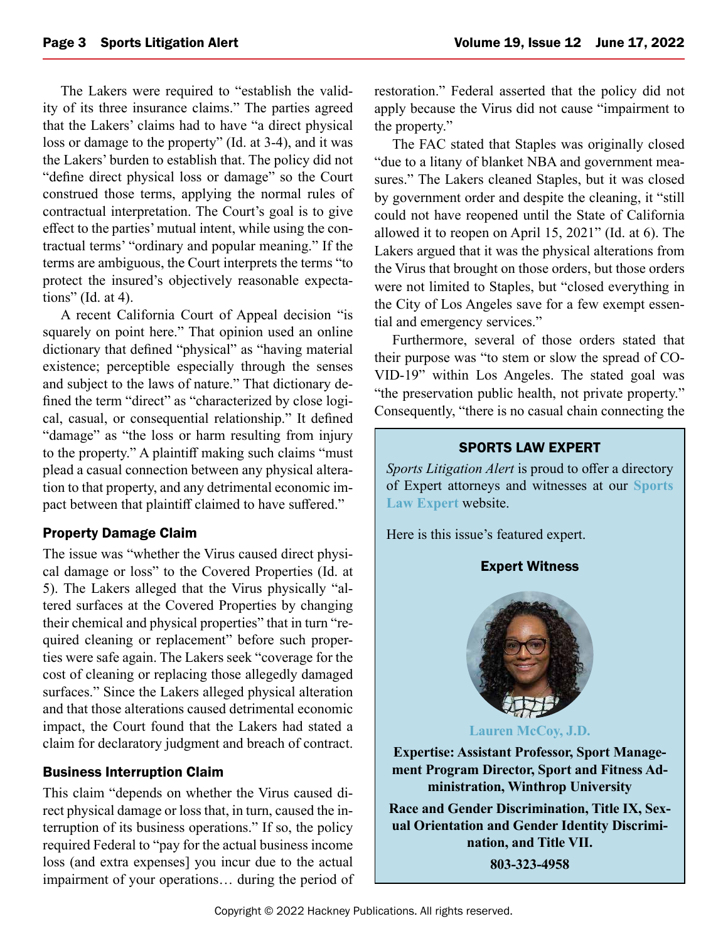The Lakers were required to "establish the validity of its three insurance claims." The parties agreed that the Lakers' claims had to have "a direct physical loss or damage to the property" (Id. at 3-4), and it was the Lakers' burden to establish that. The policy did not "define direct physical loss or damage" so the Court construed those terms, applying the normal rules of contractual interpretation. The Court's goal is to give effect to the parties' mutual intent, while using the contractual terms' "ordinary and popular meaning." If the terms are ambiguous, the Court interprets the terms "to protect the insured's objectively reasonable expectations" (Id. at 4).

A recent California Court of Appeal decision "is squarely on point here." That opinion used an online dictionary that defined "physical" as "having material existence; perceptible especially through the senses and subject to the laws of nature." That dictionary defined the term "direct" as "characterized by close logical, casual, or consequential relationship." It defined "damage" as "the loss or harm resulting from injury to the property." A plaintiff making such claims "must plead a casual connection between any physical alteration to that property, and any detrimental economic impact between that plaintiff claimed to have suffered."

#### Property Damage Claim

The issue was "whether the Virus caused direct physical damage or loss" to the Covered Properties (Id. at 5). The Lakers alleged that the Virus physically "altered surfaces at the Covered Properties by changing their chemical and physical properties" that in turn "required cleaning or replacement" before such properties were safe again. The Lakers seek "coverage for the cost of cleaning or replacing those allegedly damaged surfaces." Since the Lakers alleged physical alteration and that those alterations caused detrimental economic impact, the Court found that the Lakers had stated a claim for declaratory judgment and breach of contract.

#### Business Interruption Claim

This claim "depends on whether the Virus caused direct physical damage or loss that, in turn, caused the interruption of its business operations." If so, the policy required Federal to "pay for the actual business income loss (and extra expenses] you incur due to the actual impairment of your operations… during the period of restoration." Federal asserted that the policy did not apply because the Virus did not cause "impairment to the property."

The FAC stated that Staples was originally closed "due to a litany of blanket NBA and government measures." The Lakers cleaned Staples, but it was closed by government order and despite the cleaning, it "still could not have reopened until the State of California allowed it to reopen on April 15, 2021" (Id. at 6). The Lakers argued that it was the physical alterations from the Virus that brought on those orders, but those orders were not limited to Staples, but "closed everything in the City of Los Angeles save for a few exempt essential and emergency services."

Furthermore, several of those orders stated that their purpose was "to stem or slow the spread of CO-VID-19" within Los Angeles. The stated goal was "the preservation public health, not private property." Consequently, "there is no casual chain connecting the

#### SPORTS LAW EXPERT

*Sports Litigation Alert* is proud to offer a directory of Expert attorneys and witnesses at our **[Sports](https://sportslawexpert.com/) [Law Expert](https://sportslawexpert.com/)** website.

Here is this issue's featured expert.

#### Expert Witness



**[Lauren McCoy, J.D.](mailto:Lauren%20McCoy%2C%20J.D.?subject=mccoyl%40winthrop.edu)**

**Expertise: Assistant Professor, Sport Management Program Director, Sport and Fitness Administration, Winthrop University**

**Race and Gender Discrimination, Title IX, Sexual Orientation and Gender Identity Discrimination, and Title VII.**

**803-323-4958**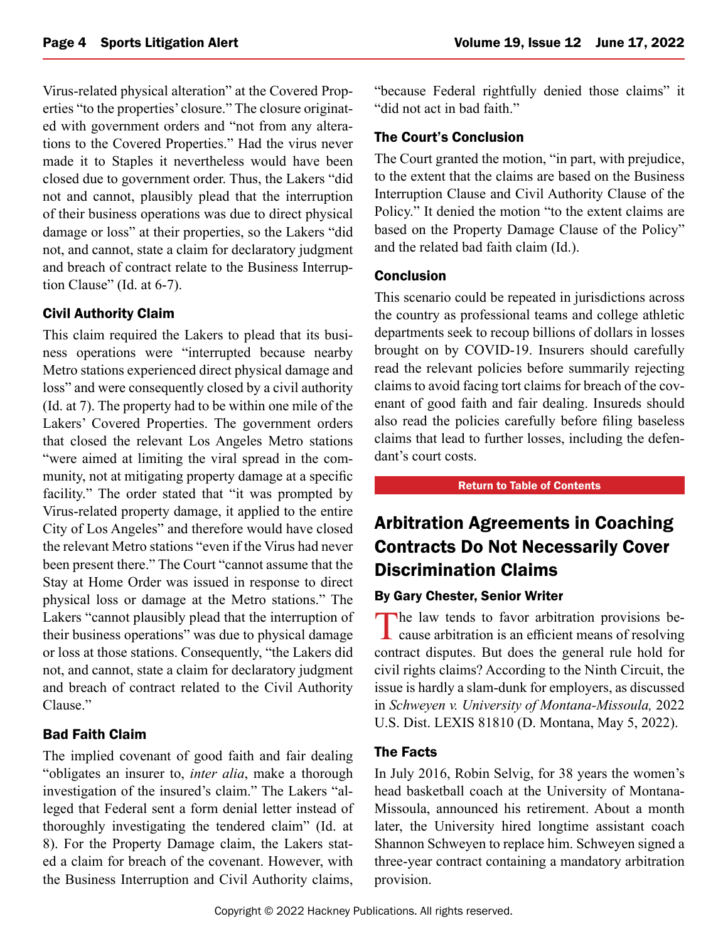<span id="page-3-0"></span>Virus-related physical alteration" at the Covered Properties "to the properties' closure." The closure originated with government orders and "not from any alterations to the Covered Properties." Had the virus never made it to Staples it nevertheless would have been closed due to government order. Thus, the Lakers "did not and cannot, plausibly plead that the interruption of their business operations was due to direct physical damage or loss" at their properties, so the Lakers "did not, and cannot, state a claim for declaratory judgment and breach of contract relate to the Business Interruption Clause" (Id. at 6-7).

#### Civil Authority Claim

This claim required the Lakers to plead that its business operations were "interrupted because nearby Metro stations experienced direct physical damage and loss" and were consequently closed by a civil authority (Id. at 7). The property had to be within one mile of the Lakers' Covered Properties. The government orders that closed the relevant Los Angeles Metro stations "were aimed at limiting the viral spread in the community, not at mitigating property damage at a specific facility." The order stated that "it was prompted by Virus-related property damage, it applied to the entire City of Los Angeles" and therefore would have closed the relevant Metro stations "even if the Virus had never been present there." The Court "cannot assume that the Stay at Home Order was issued in response to direct physical loss or damage at the Metro stations." The Lakers "cannot plausibly plead that the interruption of their business operations" was due to physical damage or loss at those stations. Consequently, "the Lakers did not, and cannot, state a claim for declaratory judgment and breach of contract related to the Civil Authority Clause."

#### Bad Faith Claim

The implied covenant of good faith and fair dealing "obligates an insurer to, *inter alia*, make a thorough investigation of the insured's claim." The Lakers "alleged that Federal sent a form denial letter instead of thoroughly investigating the tendered claim" (Id. at 8). For the Property Damage claim, the Lakers stated a claim for breach of the covenant. However, with the Business Interruption and Civil Authority claims,

"because Federal rightfully denied those claims" it "did not act in bad faith."

#### The Court's Conclusion

The Court granted the motion, "in part, with prejudice, to the extent that the claims are based on the Business Interruption Clause and Civil Authority Clause of the Policy." It denied the motion "to the extent claims are based on the Property Damage Clause of the Policy" and the related bad faith claim (Id.).

#### **Conclusion**

This scenario could be repeated in jurisdictions across the country as professional teams and college athletic departments seek to recoup billions of dollars in losses brought on by COVID-19. Insurers should carefully read the relevant policies before summarily rejecting claims to avoid facing tort claims for breach of the covenant of good faith and fair dealing. Insureds should also read the policies carefully before filing baseless claims that lead to further losses, including the defendant's court costs.

#### [Return to Table of Contents](#page-0-0)

## Arbitration Agreements in Coaching Contracts Do Not Necessarily Cover Discrimination Claims

#### By Gary Chester, Senior Writer

The law tends to favor arbitration provisions be- $\blacksquare$  cause arbitration is an efficient means of resolving contract disputes. But does the general rule hold for civil rights claims? According to the Ninth Circuit, the issue is hardly a slam-dunk for employers, as discussed in *Schweyen v. University of Montana-Missoula,* 2022 U.S. Dist. LEXIS 81810 (D. Montana, May 5, 2022).

#### The Facts

In July 2016, Robin Selvig, for 38 years the women's head basketball coach at the University of Montana-Missoula, announced his retirement. About a month later, the University hired longtime assistant coach Shannon Schweyen to replace him. Schweyen signed a three-year contract containing a mandatory arbitration provision.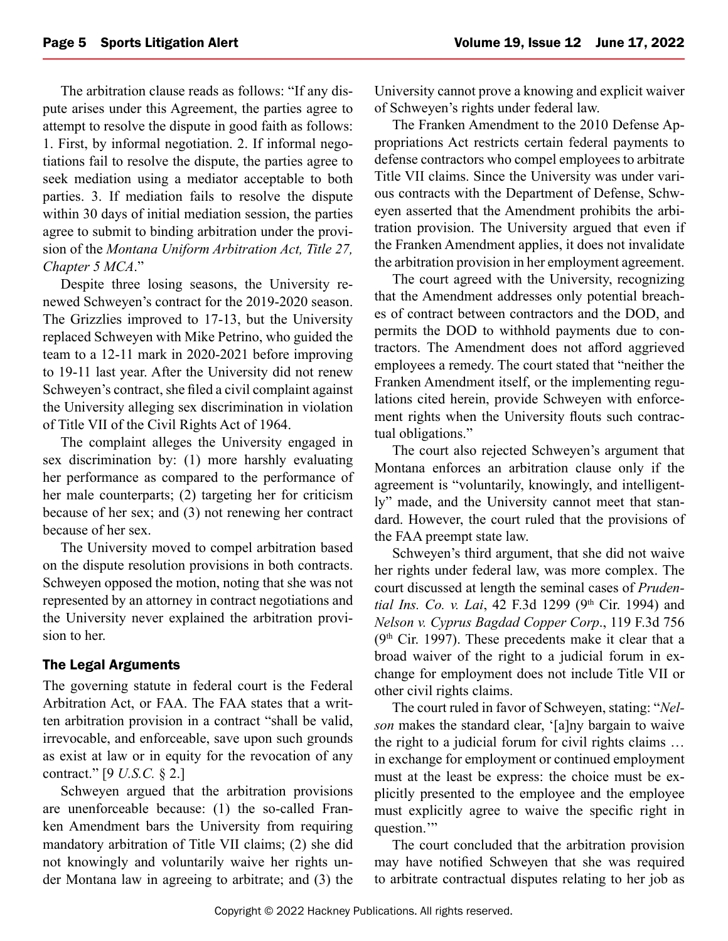The arbitration clause reads as follows: "If any dispute arises under this Agreement, the parties agree to attempt to resolve the dispute in good faith as follows: 1. First, by informal negotiation. 2. If informal negotiations fail to resolve the dispute, the parties agree to seek mediation using a mediator acceptable to both parties. 3. If mediation fails to resolve the dispute within 30 days of initial mediation session, the parties agree to submit to binding arbitration under the provision of the *Montana Uniform Arbitration Act, Title 27, Chapter 5 MCA*."

Despite three losing seasons, the University renewed Schweyen's contract for the 2019-2020 season. The Grizzlies improved to 17-13, but the University replaced Schweyen with Mike Petrino, who guided the team to a 12-11 mark in 2020-2021 before improving to 19-11 last year. After the University did not renew Schweyen's contract, she filed a civil complaint against the University alleging sex discrimination in violation of Title VII of the Civil Rights Act of 1964.

The complaint alleges the University engaged in sex discrimination by: (1) more harshly evaluating her performance as compared to the performance of her male counterparts; (2) targeting her for criticism because of her sex; and (3) not renewing her contract because of her sex.

The University moved to compel arbitration based on the dispute resolution provisions in both contracts. Schweyen opposed the motion, noting that she was not represented by an attorney in contract negotiations and the University never explained the arbitration provision to her.

#### The Legal Arguments

The governing statute in federal court is the Federal Arbitration Act, or FAA. The FAA states that a written arbitration provision in a contract "shall be valid, irrevocable, and enforceable, save upon such grounds as exist at law or in equity for the revocation of any contract." [9 *U.S.C.* § 2.]

Schweyen argued that the arbitration provisions are unenforceable because: (1) the so-called Franken Amendment bars the University from requiring mandatory arbitration of Title VII claims; (2) she did not knowingly and voluntarily waive her rights under Montana law in agreeing to arbitrate; and (3) the

University cannot prove a knowing and explicit waiver of Schweyen's rights under federal law.

The Franken Amendment to the 2010 Defense Appropriations Act restricts certain federal payments to defense contractors who compel employees to arbitrate Title VII claims. Since the University was under various contracts with the Department of Defense, Schweyen asserted that the Amendment prohibits the arbitration provision. The University argued that even if the Franken Amendment applies, it does not invalidate the arbitration provision in her employment agreement.

The court agreed with the University, recognizing that the Amendment addresses only potential breaches of contract between contractors and the DOD, and permits the DOD to withhold payments due to contractors. The Amendment does not afford aggrieved employees a remedy. The court stated that "neither the Franken Amendment itself, or the implementing regulations cited herein, provide Schweyen with enforcement rights when the University flouts such contractual obligations."

The court also rejected Schweyen's argument that Montana enforces an arbitration clause only if the agreement is "voluntarily, knowingly, and intelligently" made, and the University cannot meet that standard. However, the court ruled that the provisions of the FAA preempt state law.

Schweyen's third argument, that she did not waive her rights under federal law, was more complex. The court discussed at length the seminal cases of *Pruden*tial Ins. Co. v. Lai, 42 F.3d 1299 (9th Cir. 1994) and *Nelson v. Cyprus Bagdad Copper Corp*., 119 F.3d 756  $(9<sup>th</sup>$  Cir. 1997). These precedents make it clear that a broad waiver of the right to a judicial forum in exchange for employment does not include Title VII or other civil rights claims.

The court ruled in favor of Schweyen, stating: "*Nelson* makes the standard clear, '[a]ny bargain to waive the right to a judicial forum for civil rights claims … in exchange for employment or continued employment must at the least be express: the choice must be explicitly presented to the employee and the employee must explicitly agree to waive the specific right in question."

The court concluded that the arbitration provision may have notified Schweyen that she was required to arbitrate contractual disputes relating to her job as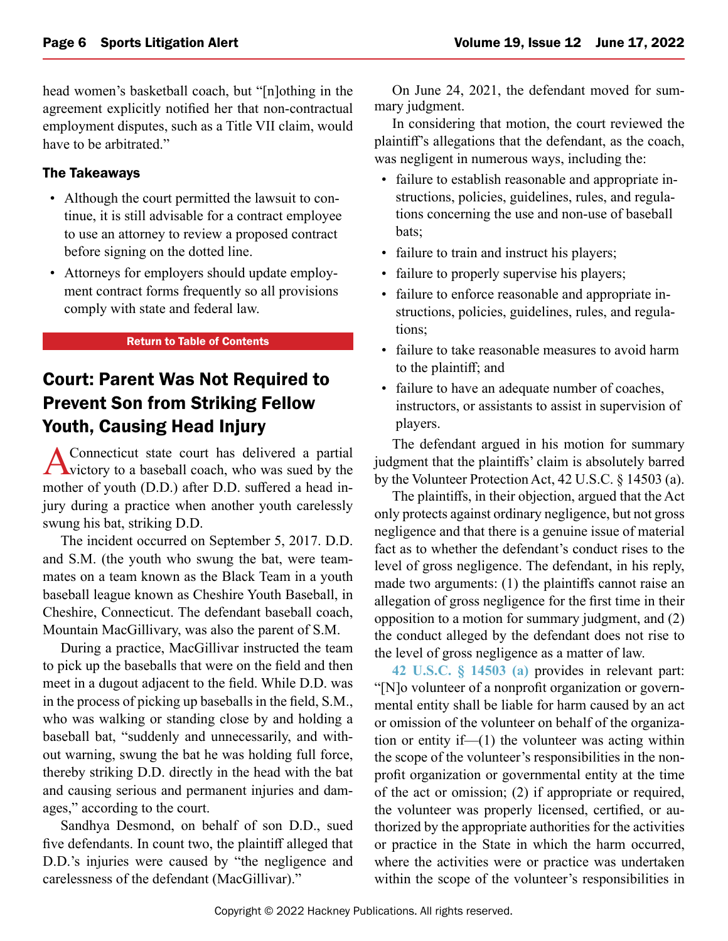<span id="page-5-0"></span>head women's basketball coach, but "[n]othing in the agreement explicitly notified her that non-contractual employment disputes, such as a Title VII claim, would have to be arbitrated."

#### The Takeaways

- Although the court permitted the lawsuit to continue, it is still advisable for a contract employee to use an attorney to review a proposed contract before signing on the dotted line.
- Attorneys for employers should update employment contract forms frequently so all provisions comply with state and federal law.

#### [Return to Table of Contents](#page-0-0)

## Court: Parent Was Not Required to Prevent Son from Striking Fellow Youth, Causing Head Injury

A Connecticut state court has delivered a partial victory to a baseball coach, who was sued by the mother of youth (D.D.) after D.D. suffered a head injury during a practice when another youth carelessly swung his bat, striking D.D.

The incident occurred on September 5, 2017. D.D. and S.M. (the youth who swung the bat, were teammates on a team known as the Black Team in a youth baseball league known as Cheshire Youth Baseball, in Cheshire, Connecticut. The defendant baseball coach, Mountain MacGillivary, was also the parent of S.M.

During a practice, MacGillivar instructed the team to pick up the baseballs that were on the field and then meet in a dugout adjacent to the field. While D.D. was in the process of picking up baseballs in the field, S.M., who was walking or standing close by and holding a baseball bat, "suddenly and unnecessarily, and without warning, swung the bat he was holding full force, thereby striking D.D. directly in the head with the bat and causing serious and permanent injuries and damages," according to the court.

Sandhya Desmond, on behalf of son D.D., sued five defendants. In count two, the plaintiff alleged that D.D.'s injuries were caused by "the negligence and carelessness of the defendant (MacGillivar)."

On June 24, 2021, the defendant moved for summary judgment.

In considering that motion, the court reviewed the plaintiff's allegations that the defendant, as the coach, was negligent in numerous ways, including the:

- failure to establish reasonable and appropriate instructions, policies, guidelines, rules, and regulations concerning the use and non-use of baseball bats;
- failure to train and instruct his players;
- failure to properly supervise his players;
- failure to enforce reasonable and appropriate instructions, policies, guidelines, rules, and regulations;
- failure to take reasonable measures to avoid harm to the plaintiff; and
- failure to have an adequate number of coaches, instructors, or assistants to assist in supervision of players.

The defendant argued in his motion for summary judgment that the plaintiffs' claim is absolutely barred by the Volunteer Protection Act, 42 U.S.C. § 14503 (a).

The plaintiffs, in their objection, argued that the Act only protects against ordinary negligence, but not gross negligence and that there is a genuine issue of material fact as to whether the defendant's conduct rises to the level of gross negligence. The defendant, in his reply, made two arguments: (1) the plaintiffs cannot raise an allegation of gross negligence for the first time in their opposition to a motion for summary judgment, and (2) the conduct alleged by the defendant does not rise to the level of gross negligence as a matter of law.

**[42 U.S.C. § 14503 \(a\)](https://plus.lexis.com/api/document?collection=statutes-legislation&id=urn:contentItem:8TGN-VD42-8T6X-72MR-00000-00&context=1530671)** provides in relevant part: "[N]o volunteer of a nonprofit organization or governmental entity shall be liable for harm caused by an act or omission of the volunteer on behalf of the organization or entity if—(1) the volunteer was acting within the scope of the volunteer's responsibilities in the nonprofit organization or governmental entity at the time of the act or omission; (2) if appropriate or required, the volunteer was properly licensed, certified, or authorized by the appropriate authorities for the activities or practice in the State in which the harm occurred, where the activities were or practice was undertaken within the scope of the volunteer's responsibilities in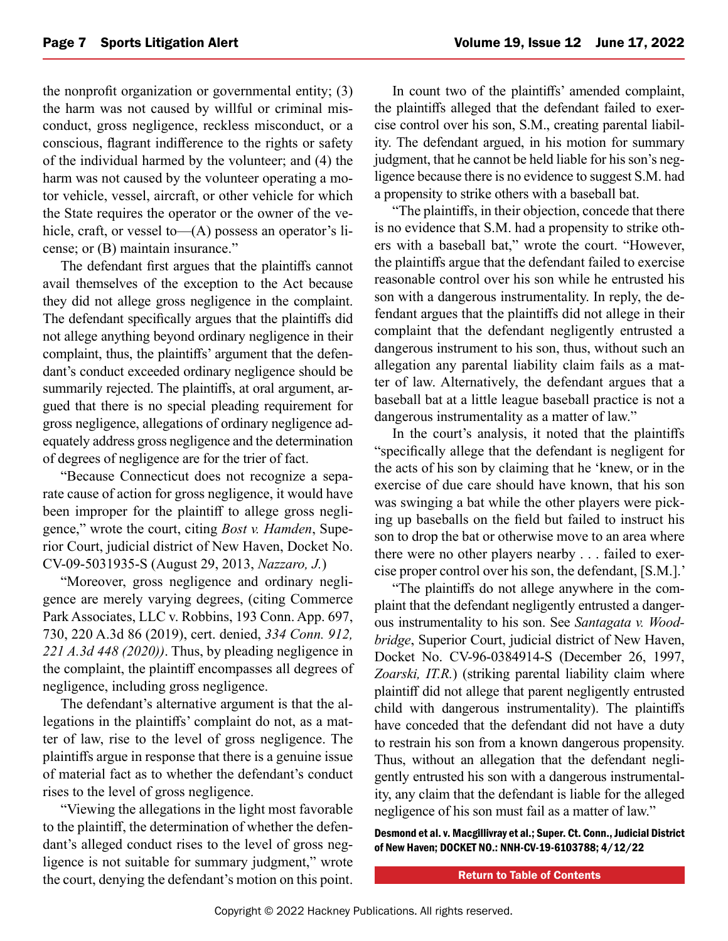the nonprofit organization or governmental entity; (3) the harm was not caused by willful or criminal misconduct, gross negligence, reckless misconduct, or a conscious, flagrant indifference to the rights or safety of the individual harmed by the volunteer; and (4) the harm was not caused by the volunteer operating a motor vehicle, vessel, aircraft, or other vehicle for which the State requires the operator or the owner of the vehicle, craft, or vessel to—(A) possess an operator's license; or (B) maintain insurance."

The defendant first argues that the plaintiffs cannot avail themselves of the exception to the Act because they did not allege gross negligence in the complaint. The defendant specifically argues that the plaintiffs did not allege anything beyond ordinary negligence in their complaint, thus, the plaintiffs' argument that the defendant's conduct exceeded ordinary negligence should be summarily rejected. The plaintiffs, at oral argument, argued that there is no special pleading requirement for gross negligence, allegations of ordinary negligence adequately address gross negligence and the determination of degrees of negligence are for the trier of fact.

"Because Connecticut does not recognize a separate cause of action for gross negligence, it would have been improper for the plaintiff to allege gross negligence," wrote the court, citing *Bost v. Hamden*, Superior Court, judicial district of New Haven, Docket No. CV-09-5031935-S (August 29, 2013, *Nazzaro, J.*)

"Moreover, gross negligence and ordinary negligence are merely varying degrees, (citing Commerce Park Associates, LLC v. Robbins, 193 Conn. App. 697, 730, 220 A.3d 86 (2019), cert. denied, *334 Conn. 912, 221 A.3d 448 (2020))*. Thus, by pleading negligence in the complaint, the plaintiff encompasses all degrees of negligence, including gross negligence.

The defendant's alternative argument is that the allegations in the plaintiffs' complaint do not, as a matter of law, rise to the level of gross negligence. The plaintiffs argue in response that there is a genuine issue of material fact as to whether the defendant's conduct rises to the level of gross negligence.

"Viewing the allegations in the light most favorable to the plaintiff, the determination of whether the defendant's alleged conduct rises to the level of gross negligence is not suitable for summary judgment," wrote the court, denying the defendant's motion on this point.

In count two of the plaintiffs' amended complaint, the plaintiffs alleged that the defendant failed to exercise control over his son, S.M., creating parental liability. The defendant argued, in his motion for summary judgment, that he cannot be held liable for his son's negligence because there is no evidence to suggest S.M. had a propensity to strike others with a baseball bat.

"The plaintiffs, in their objection, concede that there is no evidence that S.M. had a propensity to strike others with a baseball bat," wrote the court. "However, the plaintiffs argue that the defendant failed to exercise reasonable control over his son while he entrusted his son with a dangerous instrumentality. In reply, the defendant argues that the plaintiffs did not allege in their complaint that the defendant negligently entrusted a dangerous instrument to his son, thus, without such an allegation any parental liability claim fails as a matter of law. Alternatively, the defendant argues that a baseball bat at a little league baseball practice is not a dangerous instrumentality as a matter of law."

In the court's analysis, it noted that the plaintiffs "specifically allege that the defendant is negligent for the acts of his son by claiming that he 'knew, or in the exercise of due care should have known, that his son was swinging a bat while the other players were picking up baseballs on the field but failed to instruct his son to drop the bat or otherwise move to an area where there were no other players nearby ... failed to exercise proper control over his son, the defendant, [S.M.].'

"The plaintiffs do not allege anywhere in the complaint that the defendant negligently entrusted a dangerous instrumentality to his son. See *Santagata v. Woodbridge*, Superior Court, judicial district of New Haven, Docket No. CV-96-0384914-S (December 26, 1997, *Zoarski, IT.R.*) (striking parental liability claim where plaintiff did not allege that parent negligently entrusted child with dangerous instrumentality). The plaintiffs have conceded that the defendant did not have a duty to restrain his son from a known dangerous propensity. Thus, without an allegation that the defendant negligently entrusted his son with a dangerous instrumentality, any claim that the defendant is liable for the alleged negligence of his son must fail as a matter of law."

Desmond et al. v. Macgillivray et al.; Super. Ct. Conn., Judicial District of New Haven; DOCKET NO.: NNH-CV-19-6103788; 4/12/22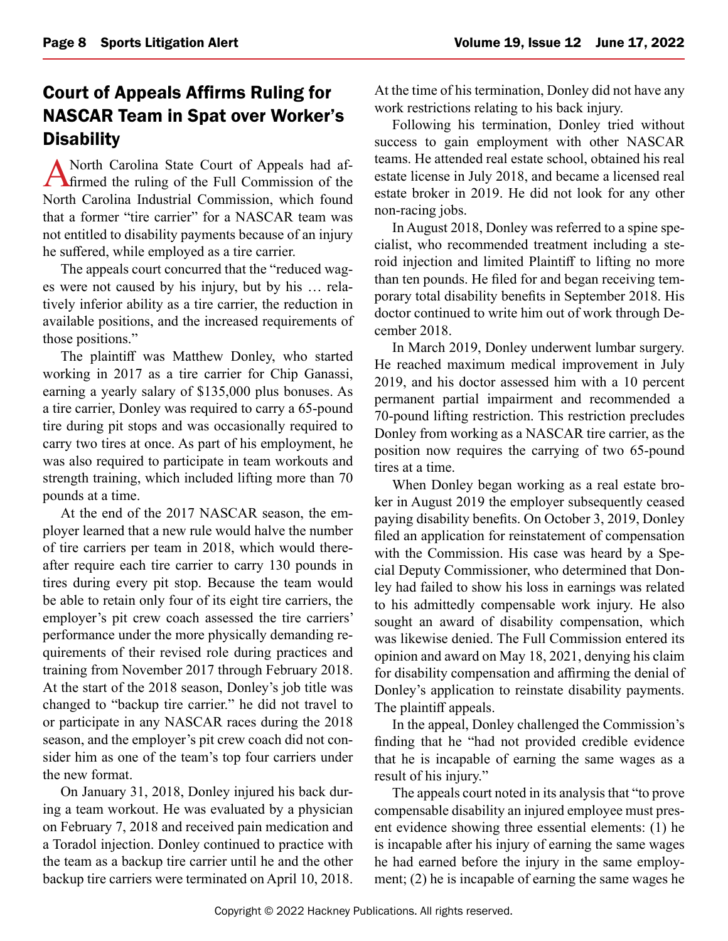## <span id="page-7-0"></span>Court of Appeals Affirms Ruling for NASCAR Team in Spat over Worker's **Disability**

A North Carolina State Court of Appeals had af-<br>firmed the ruling of the Full Commission of the North Carolina Industrial Commission, which found that a former "tire carrier" for a NASCAR team was not entitled to disability payments because of an injury he suffered, while employed as a tire carrier.

The appeals court concurred that the "reduced wages were not caused by his injury, but by his … relatively inferior ability as a tire carrier, the reduction in available positions, and the increased requirements of those positions."

The plaintiff was Matthew Donley, who started working in 2017 as a tire carrier for Chip Ganassi, earning a yearly salary of \$135,000 plus bonuses. As a tire carrier, Donley was required to carry a 65-pound tire during pit stops and was occasionally required to carry two tires at once. As part of his employment, he was also required to participate in team workouts and strength training, which included lifting more than 70 pounds at a time.

At the end of the 2017 NASCAR season, the employer learned that a new rule would halve the number of tire carriers per team in 2018, which would thereafter require each tire carrier to carry 130 pounds in tires during every pit stop. Because the team would be able to retain only four of its eight tire carriers, the employer's pit crew coach assessed the tire carriers' performance under the more physically demanding requirements of their revised role during practices and training from November 2017 through February 2018. At the start of the 2018 season, Donley's job title was changed to "backup tire carrier." he did not travel to or participate in any NASCAR races during the 2018 season, and the employer's pit crew coach did not consider him as one of the team's top four carriers under the new format.

On January 31, 2018, Donley injured his back during a team workout. He was evaluated by a physician on February 7, 2018 and received pain medication and a Toradol injection. Donley continued to practice with the team as a backup tire carrier until he and the other backup tire carriers were terminated on April 10, 2018. At the time of his termination, Donley did not have any work restrictions relating to his back injury.

Following his termination, Donley tried without success to gain employment with other NASCAR teams. He attended real estate school, obtained his real estate license in July 2018, and became a licensed real estate broker in 2019. He did not look for any other non-racing jobs.

In August 2018, Donley was referred to a spine specialist, who recommended treatment including a steroid injection and limited Plaintiff to lifting no more than ten pounds. He filed for and began receiving temporary total disability benefits in September 2018. His doctor continued to write him out of work through December 2018.

In March 2019, Donley underwent lumbar surgery. He reached maximum medical improvement in July 2019, and his doctor assessed him with a 10 percent permanent partial impairment and recommended a 70-pound lifting restriction. This restriction precludes Donley from working as a NASCAR tire carrier, as the position now requires the carrying of two 65-pound tires at a time.

When Donley began working as a real estate broker in August 2019 the employer subsequently ceased paying disability benefits. On October 3, 2019, Donley filed an application for reinstatement of compensation with the Commission. His case was heard by a Special Deputy Commissioner, who determined that Donley had failed to show his loss in earnings was related to his admittedly compensable work injury. He also sought an award of disability compensation, which was likewise denied. The Full Commission entered its opinion and award on May 18, 2021, denying his claim for disability compensation and affirming the denial of Donley's application to reinstate disability payments. The plaintiff appeals.

In the appeal, Donley challenged the Commission's finding that he "had not provided credible evidence that he is incapable of earning the same wages as a result of his injury."

The appeals court noted in its analysis that "to prove compensable disability an injured employee must present evidence showing three essential elements: (1) he is incapable after his injury of earning the same wages he had earned before the injury in the same employment; (2) he is incapable of earning the same wages he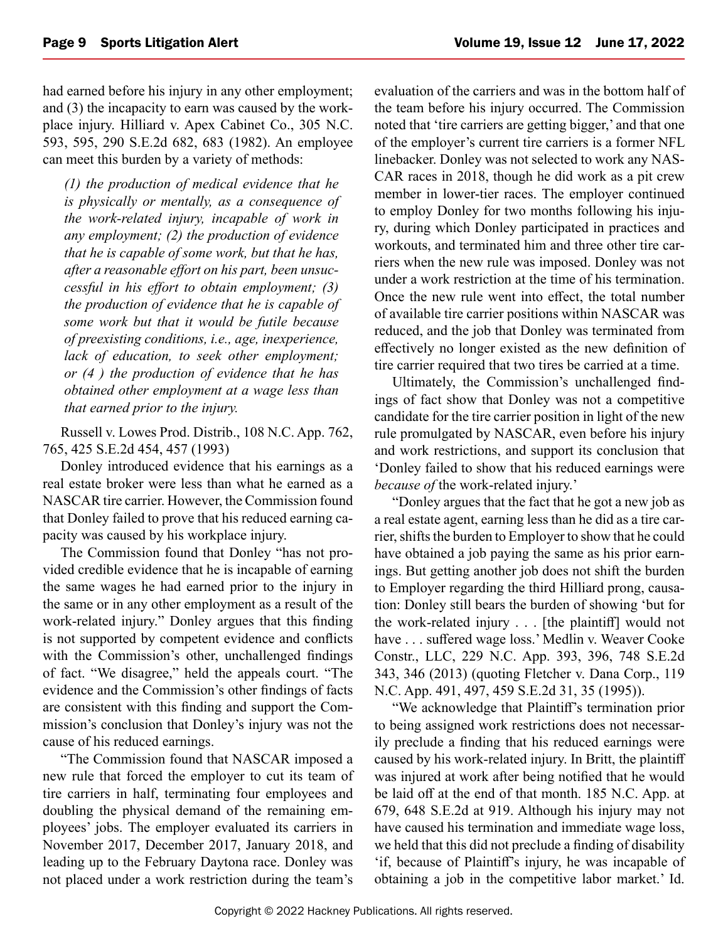had earned before his injury in any other employment; and (3) the incapacity to earn was caused by the workplace injury. Hilliard v. Apex Cabinet Co., 305 N.C. 593, 595, 290 S.E.2d 682, 683 (1982). An employee can meet this burden by a variety of methods:

*(1) the production of medical evidence that he is physically or mentally, as a consequence of the work-related injury, incapable of work in any employment; (2) the production of evidence that he is capable of some work, but that he has, after a reasonable effort on his part, been unsuccessful in his effort to obtain employment; (3) the production of evidence that he is capable of some work but that it would be futile because of preexisting conditions, i.e., age, inexperience, lack of education, to seek other employment; or (4 ) the production of evidence that he has obtained other employment at a wage less than that earned prior to the injury.*

Russell v. Lowes Prod. Distrib., 108 N.C. App. 762, 765, 425 S.E.2d 454, 457 (1993)

Donley introduced evidence that his earnings as a real estate broker were less than what he earned as a NASCAR tire carrier. However, the Commission found that Donley failed to prove that his reduced earning capacity was caused by his workplace injury.

The Commission found that Donley "has not provided credible evidence that he is incapable of earning the same wages he had earned prior to the injury in the same or in any other employment as a result of the work-related injury." Donley argues that this finding is not supported by competent evidence and conflicts with the Commission's other, unchallenged findings of fact. "We disagree," held the appeals court. "The evidence and the Commission's other findings of facts are consistent with this finding and support the Commission's conclusion that Donley's injury was not the cause of his reduced earnings.

"The Commission found that NASCAR imposed a new rule that forced the employer to cut its team of tire carriers in half, terminating four employees and doubling the physical demand of the remaining employees' jobs. The employer evaluated its carriers in November 2017, December 2017, January 2018, and leading up to the February Daytona race. Donley was not placed under a work restriction during the team's

evaluation of the carriers and was in the bottom half of the team before his injury occurred. The Commission noted that 'tire carriers are getting bigger,' and that one of the employer's current tire carriers is a former NFL linebacker. Donley was not selected to work any NAS-CAR races in 2018, though he did work as a pit crew member in lower-tier races. The employer continued to employ Donley for two months following his injury, during which Donley participated in practices and workouts, and terminated him and three other tire carriers when the new rule was imposed. Donley was not under a work restriction at the time of his termination. Once the new rule went into effect, the total number of available tire carrier positions within NASCAR was reduced, and the job that Donley was terminated from effectively no longer existed as the new definition of tire carrier required that two tires be carried at a time.

Ultimately, the Commission's unchallenged findings of fact show that Donley was not a competitive candidate for the tire carrier position in light of the new rule promulgated by NASCAR, even before his injury and work restrictions, and support its conclusion that 'Donley failed to show that his reduced earnings were *because of* the work-related injury.'

"Donley argues that the fact that he got a new job as a real estate agent, earning less than he did as a tire carrier, shifts the burden to Employer to show that he could have obtained a job paying the same as his prior earnings. But getting another job does not shift the burden to Employer regarding the third Hilliard prong, causation: Donley still bears the burden of showing 'but for the work-related injury . . . [the plaintiff] would not have . . . suffered wage loss.' Medlin v. Weaver Cooke Constr., LLC, 229 N.C. App. 393, 396, 748 S.E.2d 343, 346 (2013) (quoting Fletcher v. Dana Corp., 119 N.C. App. 491, 497, 459 S.E.2d 31, 35 (1995)).

"We acknowledge that Plaintiff's termination prior to being assigned work restrictions does not necessarily preclude a finding that his reduced earnings were caused by his work-related injury. In Britt, the plaintiff was injured at work after being notified that he would be laid off at the end of that month. 185 N.C. App. at 679, 648 S.E.2d at 919. Although his injury may not have caused his termination and immediate wage loss, we held that this did not preclude a finding of disability 'if, because of Plaintiff's injury, he was incapable of obtaining a job in the competitive labor market.' Id.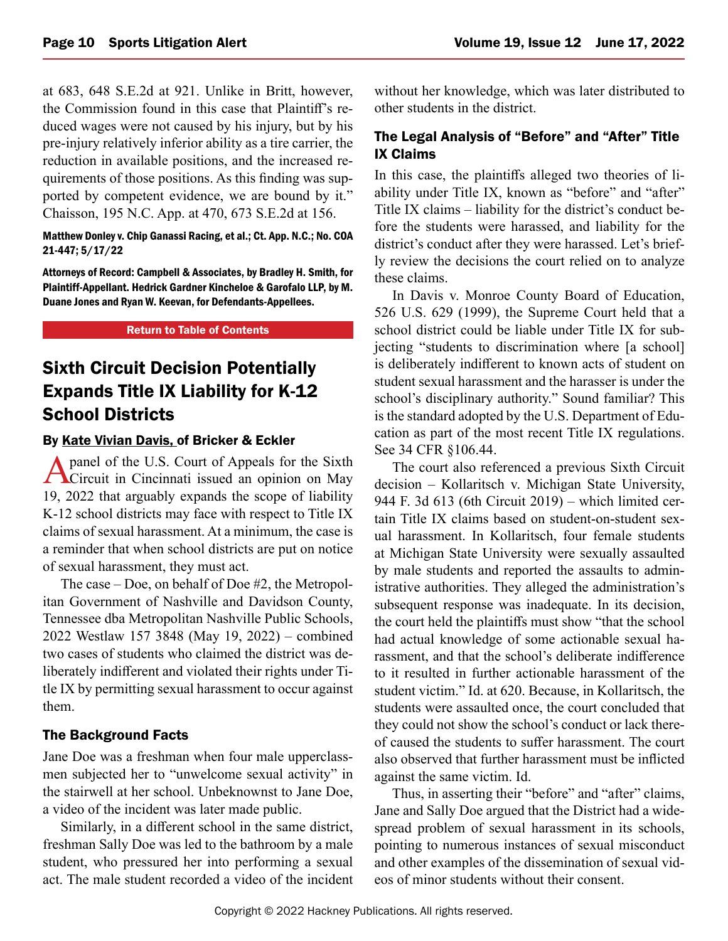<span id="page-9-0"></span>at 683, 648 S.E.2d at 921. Unlike in Britt, however, the Commission found in this case that Plaintiff's reduced wages were not caused by his injury, but by his pre-injury relatively inferior ability as a tire carrier, the reduction in available positions, and the increased requirements of those positions. As this finding was supported by competent evidence, we are bound by it." Chaisson, 195 N.C. App. at 470, 673 S.E.2d at 156.

#### Matthew Donley v. Chip Ganassi Racing, et al.; Ct. App. N.C.; No. COA 21-447; 5/17/22

Attorneys of Record: Campbell & Associates, by Bradley H. Smith, for Plaintiff-Appellant. Hedrick Gardner Kincheloe & Garofalo LLP, by M. Duane Jones and Ryan W. Keevan, for Defendants-Appellees.

#### [Return to Table of Contents](#page-0-0)

## Sixth Circuit Decision Potentially Expands Title IX Liability for K-12 School Districts

#### By [Kate Vivian Davis,](https://www.bricker.com/people/kate-davis) of Bricker & Eckler

A panel of the U.S. Court of Appeals for the Sixth **T**Circuit in Cincinnati issued an opinion on May 19, 2022 that arguably expands the scope of liability K-12 school districts may face with respect to Title IX claims of sexual harassment. At a minimum, the case is a reminder that when school districts are put on notice of sexual harassment, they must act.

The case – Doe, on behalf of Doe #2, the Metropolitan Government of Nashville and Davidson County, Tennessee dba Metropolitan Nashville Public Schools, 2022 Westlaw 157 3848 (May 19, 2022) – combined two cases of students who claimed the district was deliberately indifferent and violated their rights under Title IX by permitting sexual harassment to occur against them.

#### The Background Facts

Jane Doe was a freshman when four male upperclassmen subjected her to "unwelcome sexual activity" in the stairwell at her school. Unbeknownst to Jane Doe, a video of the incident was later made public.

Similarly, in a different school in the same district, freshman Sally Doe was led to the bathroom by a male student, who pressured her into performing a sexual act. The male student recorded a video of the incident

without her knowledge, which was later distributed to other students in the district.

#### The Legal Analysis of "Before" and "After" Title IX Claims

In this case, the plaintiffs alleged two theories of liability under Title IX, known as "before" and "after" Title IX claims – liability for the district's conduct before the students were harassed, and liability for the district's conduct after they were harassed. Let's briefly review the decisions the court relied on to analyze these claims.

In Davis v. Monroe County Board of Education, 526 U.S. 629 (1999), the Supreme Court held that a school district could be liable under Title IX for subjecting "students to discrimination where [a school] is deliberately indifferent to known acts of student on student sexual harassment and the harasser is under the school's disciplinary authority." Sound familiar? This is the standard adopted by the U.S. Department of Education as part of the most recent Title IX regulations. See 34 CFR §106.44.

The court also referenced a previous Sixth Circuit decision – Kollaritsch v. Michigan State University, 944 F. 3d 613 (6th Circuit 2019) – which limited certain Title IX claims based on student-on-student sexual harassment. In Kollaritsch, four female students at Michigan State University were sexually assaulted by male students and reported the assaults to administrative authorities. They alleged the administration's subsequent response was inadequate. In its decision, the court held the plaintiffs must show "that the school had actual knowledge of some actionable sexual harassment, and that the school's deliberate indifference to it resulted in further actionable harassment of the student victim." Id. at 620. Because, in Kollaritsch, the students were assaulted once, the court concluded that they could not show the school's conduct or lack thereof caused the students to suffer harassment. The court also observed that further harassment must be inflicted against the same victim. Id.

Thus, in asserting their "before" and "after" claims, Jane and Sally Doe argued that the District had a widespread problem of sexual harassment in its schools, pointing to numerous instances of sexual misconduct and other examples of the dissemination of sexual videos of minor students without their consent.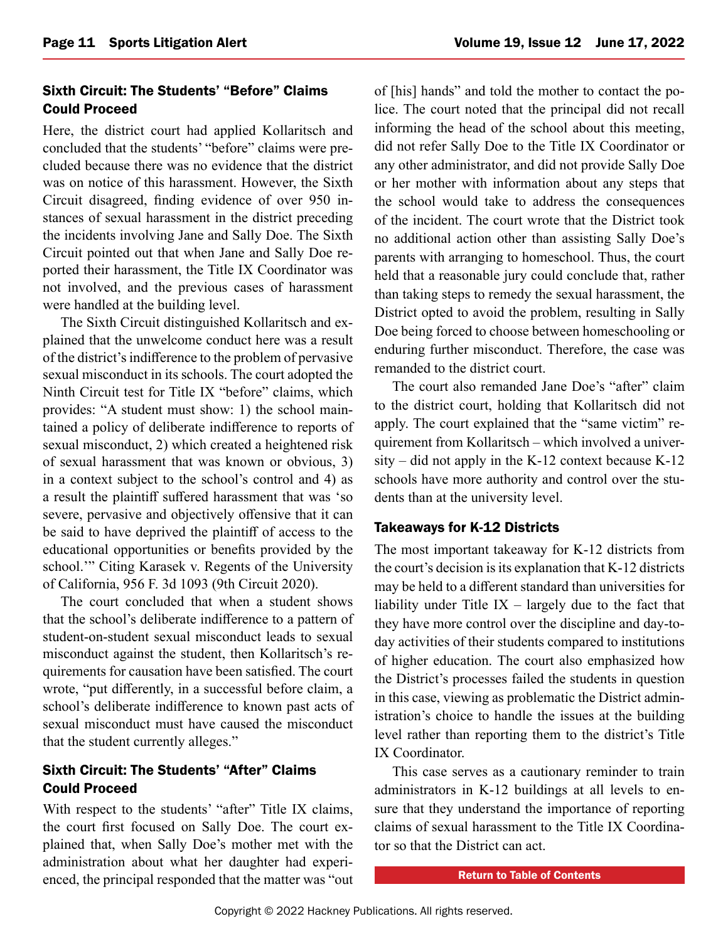#### Sixth Circuit: The Students' "Before" Claims Could Proceed

Here, the district court had applied Kollaritsch and concluded that the students' "before" claims were precluded because there was no evidence that the district was on notice of this harassment. However, the Sixth Circuit disagreed, finding evidence of over 950 instances of sexual harassment in the district preceding the incidents involving Jane and Sally Doe. The Sixth Circuit pointed out that when Jane and Sally Doe reported their harassment, the Title IX Coordinator was not involved, and the previous cases of harassment were handled at the building level.

The Sixth Circuit distinguished Kollaritsch and explained that the unwelcome conduct here was a result of the district's indifference to the problem of pervasive sexual misconduct in its schools. The court adopted the Ninth Circuit test for Title IX "before" claims, which provides: "A student must show: 1) the school maintained a policy of deliberate indifference to reports of sexual misconduct, 2) which created a heightened risk of sexual harassment that was known or obvious, 3) in a context subject to the school's control and 4) as a result the plaintiff suffered harassment that was 'so severe, pervasive and objectively offensive that it can be said to have deprived the plaintiff of access to the educational opportunities or benefits provided by the school.'" Citing Karasek v. Regents of the University of California, 956 F. 3d 1093 (9th Circuit 2020).

The court concluded that when a student shows that the school's deliberate indifference to a pattern of student-on-student sexual misconduct leads to sexual misconduct against the student, then Kollaritsch's requirements for causation have been satisfied. The court wrote, "put differently, in a successful before claim, a school's deliberate indifference to known past acts of sexual misconduct must have caused the misconduct that the student currently alleges."

#### Sixth Circuit: The Students' "After" Claims Could Proceed

With respect to the students' "after" Title IX claims, the court first focused on Sally Doe. The court explained that, when Sally Doe's mother met with the administration about what her daughter had experienced, the principal responded that the matter was "out of [his] hands" and told the mother to contact the police. The court noted that the principal did not recall informing the head of the school about this meeting, did not refer Sally Doe to the Title IX Coordinator or any other administrator, and did not provide Sally Doe or her mother with information about any steps that the school would take to address the consequences of the incident. The court wrote that the District took no additional action other than assisting Sally Doe's parents with arranging to homeschool. Thus, the court held that a reasonable jury could conclude that, rather than taking steps to remedy the sexual harassment, the District opted to avoid the problem, resulting in Sally Doe being forced to choose between homeschooling or enduring further misconduct. Therefore, the case was remanded to the district court.

The court also remanded Jane Doe's "after" claim to the district court, holding that Kollaritsch did not apply. The court explained that the "same victim" requirement from Kollaritsch – which involved a university – did not apply in the K-12 context because K-12 schools have more authority and control over the students than at the university level.

#### Takeaways for K-12 Districts

The most important takeaway for K-12 districts from the court's decision is its explanation that K-12 districts may be held to a different standard than universities for liability under Title  $IX -$  largely due to the fact that they have more control over the discipline and day-today activities of their students compared to institutions of higher education. The court also emphasized how the District's processes failed the students in question in this case, viewing as problematic the District administration's choice to handle the issues at the building level rather than reporting them to the district's Title IX Coordinator.

This case serves as a cautionary reminder to train administrators in K-12 buildings at all levels to ensure that they understand the importance of reporting claims of sexual harassment to the Title IX Coordinator so that the District can act.

[Return to Table of Contents](#page-0-0)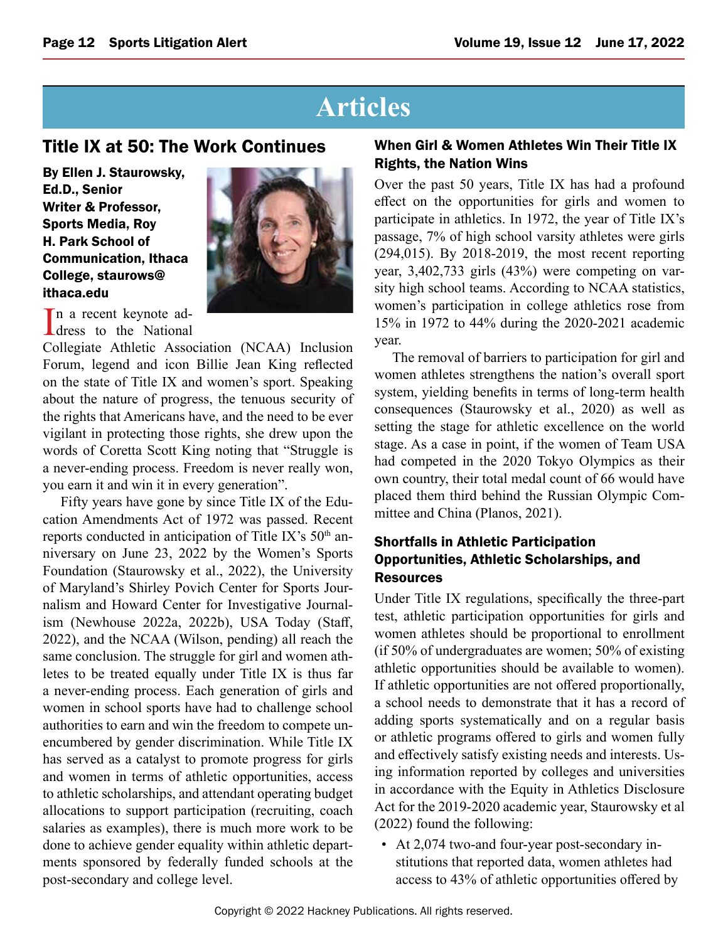## **Articles**

### <span id="page-11-0"></span>Title IX at 50: The Work Continues

By Ellen J. Staurowsky, Ed.D., Senior Writer & Professor, Sports Media, Roy H. Park School of Communication, Ithaca College, staurows@ ithaca.edu



In a recent keynote ad-<br>dress to the National n a recent keynote ad-

Collegiate Athletic Association (NCAA) Inclusion Forum, legend and icon Billie Jean King reflected on the state of Title IX and women's sport. Speaking about the nature of progress, the tenuous security of the rights that Americans have, and the need to be ever vigilant in protecting those rights, she drew upon the words of Coretta Scott King noting that "Struggle is a never-ending process. Freedom is never really won, you earn it and win it in every generation".

Fifty years have gone by since Title IX of the Education Amendments Act of 1972 was passed. Recent reports conducted in anticipation of Title IX's  $50<sup>th</sup>$  anniversary on June 23, 2022 by the Women's Sports Foundation (Staurowsky et al., 2022), the University of Maryland's Shirley Povich Center for Sports Journalism and Howard Center for Investigative Journalism (Newhouse 2022a, 2022b), USA Today (Staff, 2022), and the NCAA (Wilson, pending) all reach the same conclusion. The struggle for girl and women athletes to be treated equally under Title IX is thus far a never-ending process. Each generation of girls and women in school sports have had to challenge school authorities to earn and win the freedom to compete unencumbered by gender discrimination. While Title IX has served as a catalyst to promote progress for girls and women in terms of athletic opportunities, access to athletic scholarships, and attendant operating budget allocations to support participation (recruiting, coach salaries as examples), there is much more work to be done to achieve gender equality within athletic departments sponsored by federally funded schools at the post-secondary and college level.

#### When Girl & Women Athletes Win Their Title IX Rights, the Nation Wins

Over the past 50 years, Title IX has had a profound effect on the opportunities for girls and women to participate in athletics. In 1972, the year of Title IX's passage, 7% of high school varsity athletes were girls (294,015). By 2018-2019, the most recent reporting year, 3,402,733 girls (43%) were competing on varsity high school teams. According to NCAA statistics, women's participation in college athletics rose from 15% in 1972 to 44% during the 2020-2021 academic year.

The removal of barriers to participation for girl and women athletes strengthens the nation's overall sport system, yielding benefits in terms of long-term health consequences (Staurowsky et al., 2020) as well as setting the stage for athletic excellence on the world stage. As a case in point, if the women of Team USA had competed in the 2020 Tokyo Olympics as their own country, their total medal count of 66 would have placed them third behind the Russian Olympic Committee and China (Planos, 2021).

#### Shortfalls in Athletic Participation Opportunities, Athletic Scholarships, and **Resources**

Under Title IX regulations, specifically the three-part test, athletic participation opportunities for girls and women athletes should be proportional to enrollment (if 50% of undergraduates are women; 50% of existing athletic opportunities should be available to women). If athletic opportunities are not offered proportionally, a school needs to demonstrate that it has a record of adding sports systematically and on a regular basis or athletic programs offered to girls and women fully and effectively satisfy existing needs and interests. Using information reported by colleges and universities in accordance with the Equity in Athletics Disclosure Act for the 2019-2020 academic year, Staurowsky et al (2022) found the following:

• At 2,074 two-and four-year post-secondary institutions that reported data, women athletes had access to 43% of athletic opportunities offered by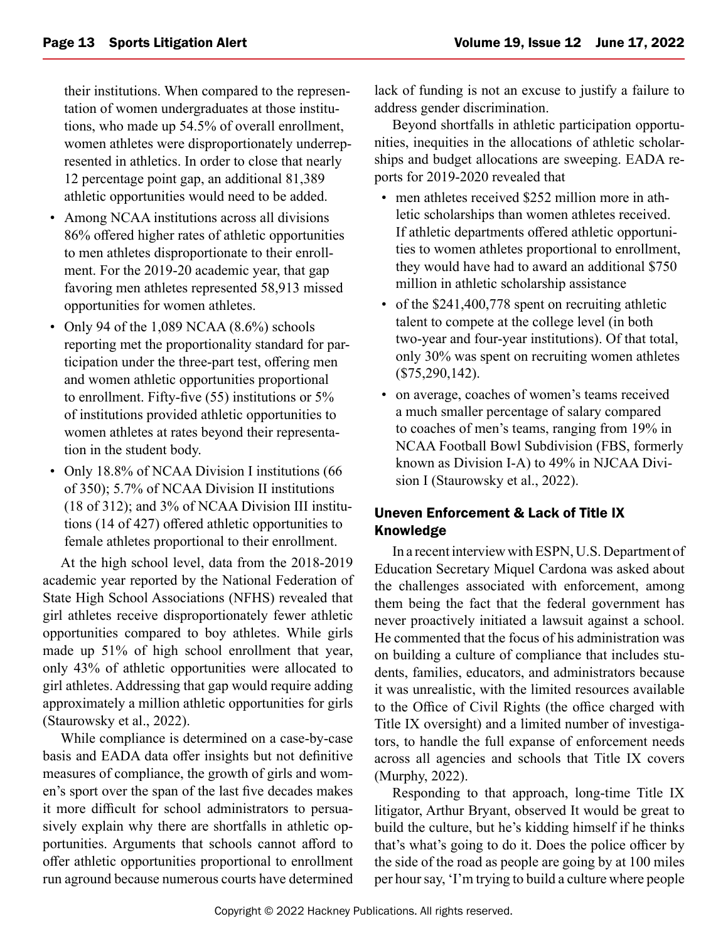their institutions. When compared to the representation of women undergraduates at those institutions, who made up 54.5% of overall enrollment, women athletes were disproportionately underrepresented in athletics. In order to close that nearly 12 percentage point gap, an additional 81,389 athletic opportunities would need to be added.

- Among NCAA institutions across all divisions 86% offered higher rates of athletic opportunities to men athletes disproportionate to their enrollment. For the 2019-20 academic year, that gap favoring men athletes represented 58,913 missed opportunities for women athletes.
- Only 94 of the 1,089 NCAA (8.6%) schools reporting met the proportionality standard for participation under the three-part test, offering men and women athletic opportunities proportional to enrollment. Fifty-five (55) institutions or 5% of institutions provided athletic opportunities to women athletes at rates beyond their representation in the student body.
- Only 18.8% of NCAA Division I institutions (66 of 350); 5.7% of NCAA Division II institutions (18 of 312); and 3% of NCAA Division III institutions (14 of 427) offered athletic opportunities to female athletes proportional to their enrollment.

At the high school level, data from the 2018-2019 academic year reported by the National Federation of State High School Associations (NFHS) revealed that girl athletes receive disproportionately fewer athletic opportunities compared to boy athletes. While girls made up 51% of high school enrollment that year, only 43% of athletic opportunities were allocated to girl athletes. Addressing that gap would require adding approximately a million athletic opportunities for girls (Staurowsky et al., 2022).

While compliance is determined on a case-by-case basis and EADA data offer insights but not definitive measures of compliance, the growth of girls and women's sport over the span of the last five decades makes it more difficult for school administrators to persuasively explain why there are shortfalls in athletic opportunities. Arguments that schools cannot afford to offer athletic opportunities proportional to enrollment run aground because numerous courts have determined lack of funding is not an excuse to justify a failure to address gender discrimination.

Beyond shortfalls in athletic participation opportunities, inequities in the allocations of athletic scholarships and budget allocations are sweeping. EADA reports for 2019-2020 revealed that

- men athletes received \$252 million more in athletic scholarships than women athletes received. If athletic departments offered athletic opportunities to women athletes proportional to enrollment, they would have had to award an additional \$750 million in athletic scholarship assistance
- of the \$241,400,778 spent on recruiting athletic talent to compete at the college level (in both two-year and four-year institutions). Of that total, only 30% was spent on recruiting women athletes (\$75,290,142).
- on average, coaches of women's teams received a much smaller percentage of salary compared to coaches of men's teams, ranging from 19% in NCAA Football Bowl Subdivision (FBS, formerly known as Division I-A) to 49% in NJCAA Division I (Staurowsky et al., 2022).

#### Uneven Enforcement & Lack of Title IX Knowledge

In a recent interview with ESPN, U.S. Department of Education Secretary Miquel Cardona was asked about the challenges associated with enforcement, among them being the fact that the federal government has never proactively initiated a lawsuit against a school. He commented that the focus of his administration was on building a culture of compliance that includes students, families, educators, and administrators because it was unrealistic, with the limited resources available to the Office of Civil Rights (the office charged with Title IX oversight) and a limited number of investigators, to handle the full expanse of enforcement needs across all agencies and schools that Title IX covers (Murphy, 2022).

Responding to that approach, long-time Title IX litigator, Arthur Bryant, observed It would be great to build the culture, but he's kidding himself if he thinks that's what's going to do it. Does the police officer by the side of the road as people are going by at 100 miles per hour say, 'I'm trying to build a culture where people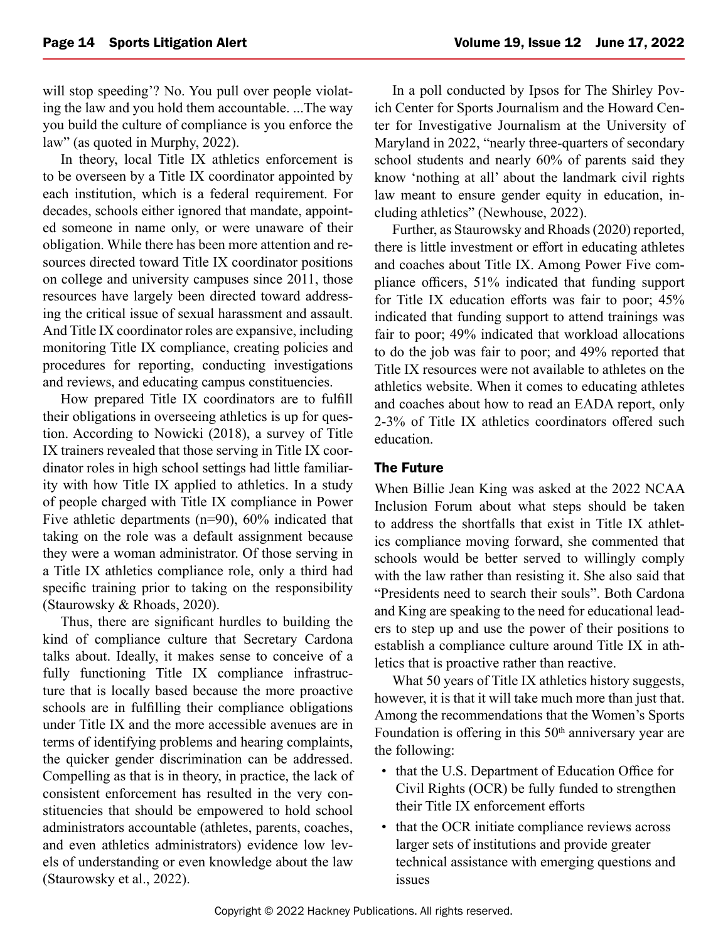will stop speeding'? No. You pull over people violating the law and you hold them accountable....The way you build the culture of compliance is you enforce the law" (as quoted in Murphy, 2022).

In theory, local Title IX athletics enforcement is to be overseen by a Title IX coordinator appointed by each institution, which is a federal requirement. For decades, schools either ignored that mandate, appointed someone in name only, or were unaware of their obligation. While there has been more attention and resources directed toward Title IX coordinator positions on college and university campuses since 2011, those resources have largely been directed toward addressing the critical issue of sexual harassment and assault. And Title IX coordinator roles are expansive, including monitoring Title IX compliance, creating policies and procedures for reporting, conducting investigations and reviews, and educating campus constituencies.

How prepared Title IX coordinators are to fulfill their obligations in overseeing athletics is up for question. According to Nowicki (2018), a survey of Title IX trainers revealed that those serving in Title IX coordinator roles in high school settings had little familiarity with how Title IX applied to athletics. In a study of people charged with Title IX compliance in Power Five athletic departments (n=90), 60% indicated that taking on the role was a default assignment because they were a woman administrator. Of those serving in a Title IX athletics compliance role, only a third had specific training prior to taking on the responsibility (Staurowsky & Rhoads, 2020).

Thus, there are significant hurdles to building the kind of compliance culture that Secretary Cardona talks about. Ideally, it makes sense to conceive of a fully functioning Title IX compliance infrastructure that is locally based because the more proactive schools are in fulfilling their compliance obligations under Title IX and the more accessible avenues are in terms of identifying problems and hearing complaints, the quicker gender discrimination can be addressed. Compelling as that is in theory, in practice, the lack of consistent enforcement has resulted in the very constituencies that should be empowered to hold school administrators accountable (athletes, parents, coaches, and even athletics administrators) evidence low levels of understanding or even knowledge about the law (Staurowsky et al., 2022).

In a poll conducted by Ipsos for The Shirley Povich Center for Sports Journalism and the Howard Center for Investigative Journalism at the University of Maryland in 2022, "nearly three-quarters of secondary school students and nearly 60% of parents said they know 'nothing at all' about the landmark civil rights law meant to ensure gender equity in education, including athletics" (Newhouse, 2022).

Further, as Staurowsky and Rhoads (2020) reported, there is little investment or effort in educating athletes and coaches about Title IX. Among Power Five compliance officers, 51% indicated that funding support for Title IX education efforts was fair to poor; 45% indicated that funding support to attend trainings was fair to poor; 49% indicated that workload allocations to do the job was fair to poor; and 49% reported that Title IX resources were not available to athletes on the athletics website. When it comes to educating athletes and coaches about how to read an EADA report, only 2-3% of Title IX athletics coordinators offered such education.

#### The Future

When Billie Jean King was asked at the 2022 NCAA Inclusion Forum about what steps should be taken to address the shortfalls that exist in Title IX athletics compliance moving forward, she commented that schools would be better served to willingly comply with the law rather than resisting it. She also said that "Presidents need to search their souls". Both Cardona and King are speaking to the need for educational leaders to step up and use the power of their positions to establish a compliance culture around Title IX in athletics that is proactive rather than reactive.

What 50 years of Title IX athletics history suggests, however, it is that it will take much more than just that. Among the recommendations that the Women's Sports Foundation is offering in this 50<sup>th</sup> anniversary year are the following:

- that the U.S. Department of Education Office for Civil Rights (OCR) be fully funded to strengthen their Title IX enforcement efforts
- that the OCR initiate compliance reviews across larger sets of institutions and provide greater technical assistance with emerging questions and issues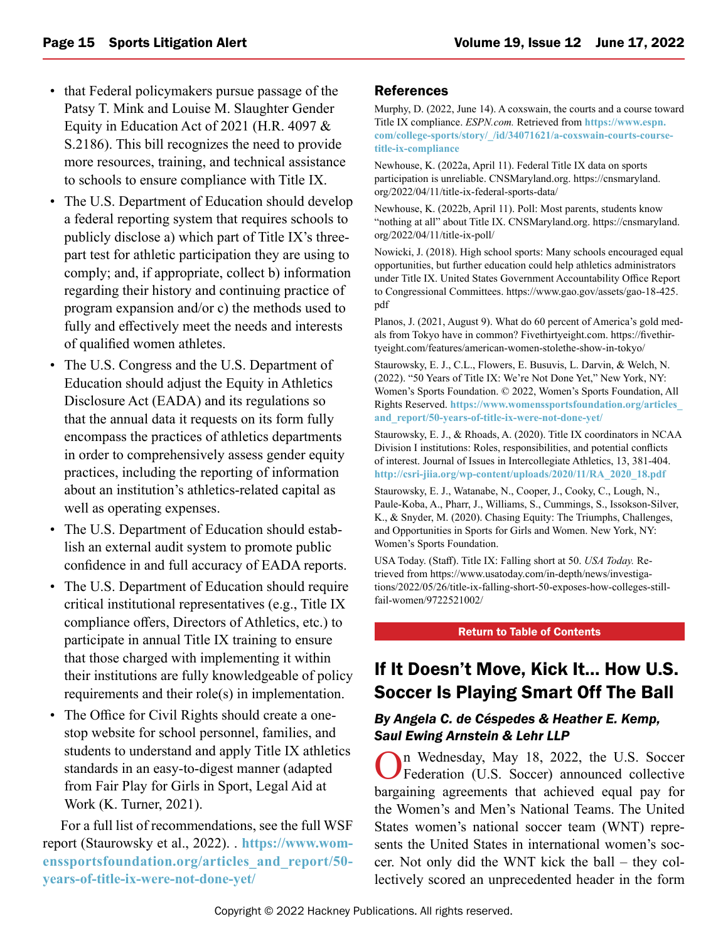- <span id="page-14-0"></span>• that Federal policymakers pursue passage of the Patsy T. Mink and Louise M. Slaughter Gender Equity in Education Act of 2021 (H.R. 4097 & S.2186). This bill recognizes the need to provide more resources, training, and technical assistance to schools to ensure compliance with Title IX.
- The U.S. Department of Education should develop a federal reporting system that requires schools to publicly disclose a) which part of Title IX's threepart test for athletic participation they are using to comply; and, if appropriate, collect b) information regarding their history and continuing practice of program expansion and/or c) the methods used to fully and effectively meet the needs and interests of qualified women athletes.
- The U.S. Congress and the U.S. Department of Education should adjust the Equity in Athletics Disclosure Act (EADA) and its regulations so that the annual data it requests on its form fully encompass the practices of athletics departments in order to comprehensively assess gender equity practices, including the reporting of information about an institution's athletics-related capital as well as operating expenses.
- The U.S. Department of Education should establish an external audit system to promote public confidence in and full accuracy of EADA reports.
- The U.S. Department of Education should require critical institutional representatives (e.g., Title IX compliance offers, Directors of Athletics, etc.) to participate in annual Title IX training to ensure that those charged with implementing it within their institutions are fully knowledgeable of policy requirements and their role(s) in implementation.
- The Office for Civil Rights should create a onestop website for school personnel, families, and students to understand and apply Title IX athletics standards in an easy-to-digest manner (adapted from Fair Play for Girls in Sport, Legal Aid at Work (K. Turner, 2021).

For a full list of recommendations, see the full WSF report (Staurowsky et al., 2022).. **[https://www.wom](https://www.womenssportsfoundation.org/articles_and_report/50-years-of-title-ix-were-not-done-yet/)[enssportsfoundation.org/articles\\_and\\_report/50](https://www.womenssportsfoundation.org/articles_and_report/50-years-of-title-ix-were-not-done-yet/) [years-of-title-ix-were-not-done-yet/](https://www.womenssportsfoundation.org/articles_and_report/50-years-of-title-ix-were-not-done-yet/)**

#### References

Murphy, D. (2022, June 14). A coxswain, the courts and a course toward Title IX compliance. *ESPN.com.* Retrieved from **[https://www.espn.](https://www.espn.com/college-sports/story/_/id/34071621/a-coxswain-courts-course-title-ix-compliance) [com/college-sports/story/\\_/id/34071621/a-coxswain-courts-course](https://www.espn.com/college-sports/story/_/id/34071621/a-coxswain-courts-course-title-ix-compliance)[title-ix-compliance](https://www.espn.com/college-sports/story/_/id/34071621/a-coxswain-courts-course-title-ix-compliance)**

Newhouse, K. (2022a, April 11). Federal Title IX data on sports participation is unreliable. CNSMaryland.org. https://cnsmaryland. org/2022/04/11/title-ix-federal-sports-data/

Newhouse, K. (2022b, April 11). Poll: Most parents, students know "nothing at all" about Title IX. CNSMaryland.org. https://cnsmaryland. org/2022/04/11/title-ix-poll/

Nowicki, J. (2018). High school sports: Many schools encouraged equal opportunities, but further education could help athletics administrators under Title IX. United States Government Accountability Office Report to Congressional Committees. https://www.gao.gov/assets/gao-18-425. pdf

Planos, J. (2021, August 9). What do 60 percent of America's gold medals from Tokyo have in common? Fivethirtyeight.com. https://fivethirtyeight.com/features/american-women-stolethe-show-in-tokyo/

Staurowsky, E. J., C.L., Flowers, E. Busuvis, L. Darvin, & Welch, N. (2022). "50 Years of Title IX: We're Not Done Yet," New York, NY: Women's Sports Foundation. © 2022, Women's Sports Foundation, All Rights Reserved. **[https://www.womenssportsfoundation.org/articles\\_](https://www.womenssportsfoundation.org/articles_and_report/50-years-of-title-ix-were-not-done-yet/) [and\\_report/50-years-of-title-ix-were-not-done-yet/](https://www.womenssportsfoundation.org/articles_and_report/50-years-of-title-ix-were-not-done-yet/)**

Staurowsky, E. J., & Rhoads, A. (2020). Title IX coordinators in NCAA Division I institutions: Roles, responsibilities, and potential conflicts of interest. Journal of Issues in Intercollegiate Athletics, 13, 381-404. **[http://csri-jiia.org/wp-content/uploads/2020/11/RA\\_2020\\_18.pdf](http://csri-jiia.org/wp-content/uploads/2020/11/RA_2020_18.pdf)**

Staurowsky, E. J., Watanabe, N., Cooper, J., Cooky, C., Lough, N., Paule-Koba, A., Pharr, J., Williams, S., Cummings, S., Issokson-Silver, K., & Snyder, M. (2020). Chasing Equity: The Triumphs, Challenges, and Opportunities in Sports for Girls and Women. New York, NY: Women's Sports Foundation.

USA Today. (Staff). Title IX: Falling short at 50. *USA Today.* Retrieved from https://www.usatoday.com/in-depth/news/investigations/2022/05/26/title-ix-falling-short-50-exposes-how-colleges-stillfail-women/9722521002/

[Return to Table of Contents](#page-0-0)

## If It Doesn't Move, Kick It… How U.S. Soccer Is Playing Smart Off The Ball

#### *By Angela C. de Céspedes & Heather E. Kemp, Saul Ewing Arnstein & Lehr LLP*

On Wednesday, May 18, 2022, the U.S. Soccer Federation (U.S. Soccer) announced collective bargaining agreements that achieved equal pay for the Women's and Men's National Teams. The United States women's national soccer team (WNT) represents the United States in international women's soccer. Not only did the WNT kick the ball – they collectively scored an unprecedented header in the form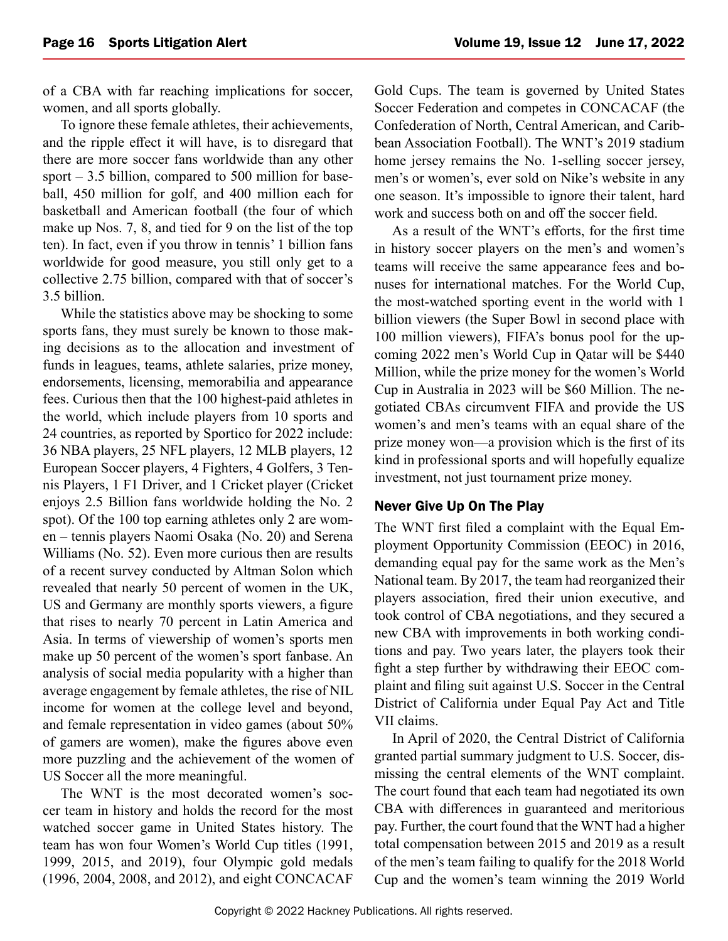of a CBA with far reaching implications for soccer, women, and all sports globally.

To ignore these female athletes, their achievements, and the ripple effect it will have, is to disregard that there are more soccer fans worldwide than any other sport  $-3.5$  billion, compared to 500 million for baseball, 450 million for golf, and 400 million each for basketball and American football (the four of which make up Nos. 7, 8, and tied for 9 on the list of the top ten). In fact, even if you throw in tennis' 1 billion fans worldwide for good measure, you still only get to a collective 2.75 billion, compared with that of soccer's 3.5 billion.

While the statistics above may be shocking to some sports fans, they must surely be known to those making decisions as to the allocation and investment of funds in leagues, teams, athlete salaries, prize money, endorsements, licensing, memorabilia and appearance fees. Curious then that the 100 highest-paid athletes in the world, which include players from 10 sports and 24 countries, as reported by Sportico for 2022 include: 36 NBA players, 25 NFL players, 12 MLB players, 12 European Soccer players, 4 Fighters, 4 Golfers, 3 Tennis Players, 1 F1 Driver, and 1 Cricket player (Cricket enjoys 2.5 Billion fans worldwide holding the No. 2 spot). Of the 100 top earning athletes only 2 are women – tennis players Naomi Osaka (No. 20) and Serena Williams (No. 52). Even more curious then are results of a recent survey conducted by Altman Solon which revealed that nearly 50 percent of women in the UK, US and Germany are monthly sports viewers, a figure that rises to nearly 70 percent in Latin America and Asia. In terms of viewership of women's sports men make up 50 percent of the women's sport fanbase. An analysis of social media popularity with a higher than average engagement by female athletes, the rise of NIL income for women at the college level and beyond, and female representation in video games (about 50% of gamers are women), make the figures above even more puzzling and the achievement of the women of US Soccer all the more meaningful.

The WNT is the most decorated women's soccer team in history and holds the record for the most watched soccer game in United States history. The team has won four Women's World Cup titles (1991, 1999, 2015, and 2019), four Olympic gold medals (1996, 2004, 2008, and 2012), and eight CONCACAF Gold Cups. The team is governed by United States Soccer Federation and competes in CONCACAF (the Confederation of North, Central American, and Caribbean Association Football). The WNT's 2019 stadium home jersey remains the No. 1-selling soccer jersey, men's or women's, ever sold on Nike's website in any one season. It's impossible to ignore their talent, hard work and success both on and off the soccer field.

As a result of the WNT's efforts, for the first time in history soccer players on the men's and women's teams will receive the same appearance fees and bonuses for international matches. For the World Cup, the most-watched sporting event in the world with 1 billion viewers (the Super Bowl in second place with 100 million viewers), FIFA's bonus pool for the upcoming 2022 men's World Cup in Qatar will be \$440 Million, while the prize money for the women's World Cup in Australia in 2023 will be \$60 Million. The negotiated CBAs circumvent FIFA and provide the US women's and men's teams with an equal share of the prize money won—a provision which is the first of its kind in professional sports and will hopefully equalize investment, not just tournament prize money.

#### Never Give Up On The Play

The WNT first filed a complaint with the Equal Employment Opportunity Commission (EEOC) in 2016, demanding equal pay for the same work as the Men's National team. By 2017, the team had reorganized their players association, fired their union executive, and took control of CBA negotiations, and they secured a new CBA with improvements in both working conditions and pay. Two years later, the players took their fight a step further by withdrawing their EEOC complaint and filing suit against U.S. Soccer in the Central District of California under Equal Pay Act and Title VII claims.

In April of 2020, the Central District of California granted partial summary judgment to U.S. Soccer, dismissing the central elements of the WNT complaint. The court found that each team had negotiated its own CBA with differences in guaranteed and meritorious pay. Further, the court found that the WNT had a higher total compensation between 2015 and 2019 as a result of the men's team failing to qualify for the 2018 World Cup and the women's team winning the 2019 World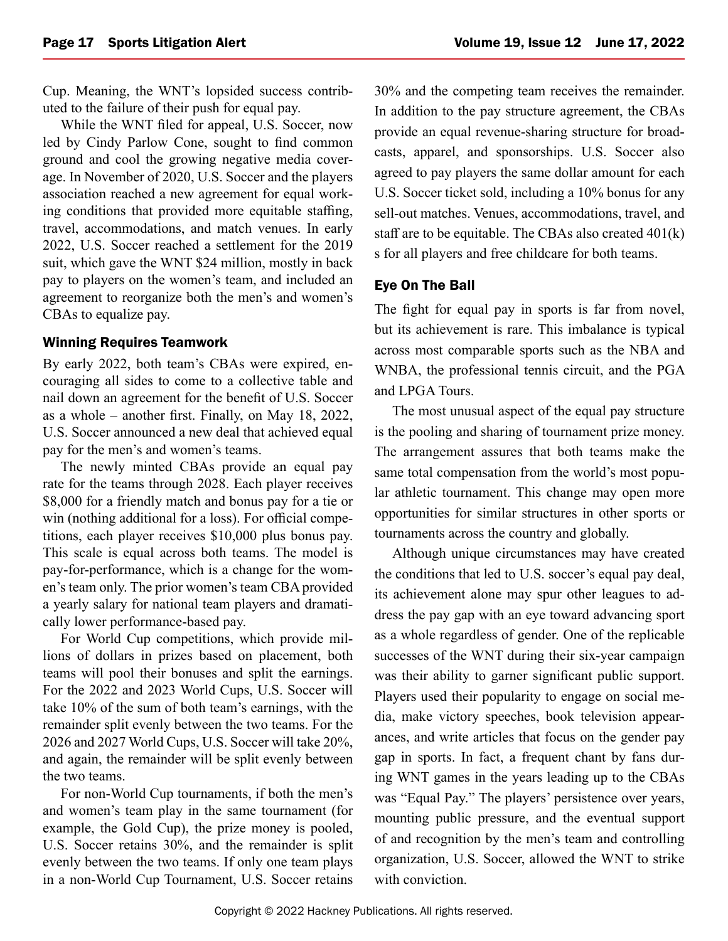Cup. Meaning, the WNT's lopsided success contributed to the failure of their push for equal pay.

While the WNT filed for appeal, U.S. Soccer, now led by Cindy Parlow Cone, sought to find common ground and cool the growing negative media coverage. In November of 2020, U.S. Soccer and the players association reached a new agreement for equal working conditions that provided more equitable staffing, travel, accommodations, and match venues. In early 2022, U.S. Soccer reached a settlement for the 2019 suit, which gave the WNT \$24 million, mostly in back pay to players on the women's team, and included an agreement to reorganize both the men's and women's CBAs to equalize pay.

#### Winning Requires Teamwork

By early 2022, both team's CBAs were expired, encouraging all sides to come to a collective table and nail down an agreement for the benefit of U.S. Soccer as a whole – another first. Finally, on May 18, 2022, U.S. Soccer announced a new deal that achieved equal pay for the men's and women's teams.

The newly minted CBAs provide an equal pay rate for the teams through 2028. Each player receives \$8,000 for a friendly match and bonus pay for a tie or win (nothing additional for a loss). For official competitions, each player receives \$10,000 plus bonus pay. This scale is equal across both teams. The model is pay-for-performance, which is a change for the women's team only. The prior women's team CBA provided a yearly salary for national team players and dramatically lower performance-based pay.

For World Cup competitions, which provide millions of dollars in prizes based on placement, both teams will pool their bonuses and split the earnings. For the 2022 and 2023 World Cups, U.S. Soccer will take 10% of the sum of both team's earnings, with the remainder split evenly between the two teams. For the 2026 and 2027 World Cups, U.S. Soccer will take 20%, and again, the remainder will be split evenly between the two teams.

For non-World Cup tournaments, if both the men's and women's team play in the same tournament (for example, the Gold Cup), the prize money is pooled, U.S. Soccer retains 30%, and the remainder is split evenly between the two teams. If only one team plays in a non-World Cup Tournament, U.S. Soccer retains

30% and the competing team receives the remainder. In addition to the pay structure agreement, the CBAs provide an equal revenue-sharing structure for broadcasts, apparel, and sponsorships. U.S. Soccer also agreed to pay players the same dollar amount for each U.S. Soccer ticket sold, including a 10% bonus for any sell-out matches. Venues, accommodations, travel, and staff are to be equitable. The CBAs also created 401(k) s for all players and free childcare for both teams.

#### Eye On The Ball

The fight for equal pay in sports is far from novel, but its achievement is rare. This imbalance is typical across most comparable sports such as the NBA and WNBA, the professional tennis circuit, and the PGA and LPGA Tours.

The most unusual aspect of the equal pay structure is the pooling and sharing of tournament prize money. The arrangement assures that both teams make the same total compensation from the world's most popular athletic tournament. This change may open more opportunities for similar structures in other sports or tournaments across the country and globally.

Although unique circumstances may have created the conditions that led to U.S. soccer's equal pay deal, its achievement alone may spur other leagues to address the pay gap with an eye toward advancing sport as a whole regardless of gender. One of the replicable successes of the WNT during their six-year campaign was their ability to garner significant public support. Players used their popularity to engage on social media, make victory speeches, book television appearances, and write articles that focus on the gender pay gap in sports. In fact, a frequent chant by fans during WNT games in the years leading up to the CBAs was "Equal Pay." The players' persistence over years, mounting public pressure, and the eventual support of and recognition by the men's team and controlling organization, U.S. Soccer, allowed the WNT to strike with conviction.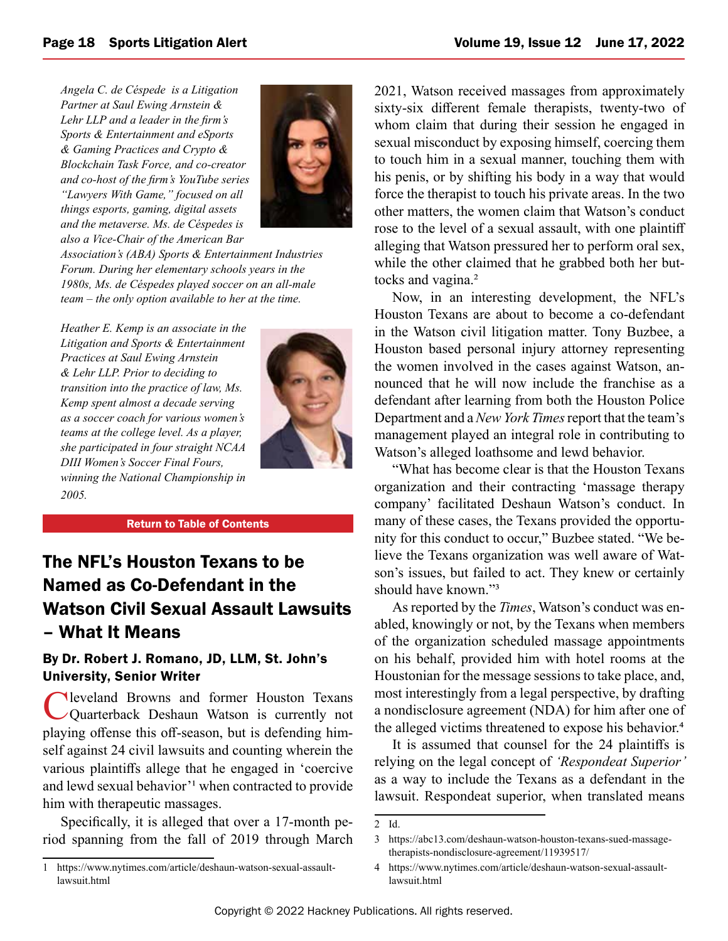<span id="page-17-0"></span>*Angela C. de Céspede is a Litigation Partner at Saul Ewing Arnstein & Lehr LLP and a leader in the firm's Sports & Entertainment and eSports & Gaming Practices and Crypto & Blockchain Task Force, and co-creator and co-host of the firm's YouTube series "Lawyers With Game," focused on all things esports, gaming, digital assets and the metaverse. Ms. de Céspedes is also a Vice-Chair of the American Bar* 



*Association's (ABA) Sports & Entertainment Industries Forum. During her elementary schools years in the 1980s, Ms. de Céspedes played soccer on an all-male team – the only option available to her at the time.*

*Heather E. Kemp is an associate in the Litigation and Sports & Entertainment Practices at Saul Ewing Arnstein & Lehr LLP. Prior to deciding to transition into the practice of law, Ms. Kemp spent almost a decade serving as a soccer coach for various women's teams at the college level. As a player, she participated in four straight NCAA DIII Women's Soccer Final Fours, winning the National Championship in 2005.*



[Return to Table of Contents](#page-0-0)

## The NFL's Houston Texans to be Named as Co-Defendant in the Watson Civil Sexual Assault Lawsuits – What It Means

#### By Dr. Robert J. Romano, JD, LLM, St. John's University, Senior Writer

**Neveland Browns and former Houston Texans** Quarterback Deshaun Watson is currently not playing offense this off-season, but is defending himself against 24 civil lawsuits and counting wherein the various plaintiffs allege that he engaged in 'coercive and lewd sexual behavior'1 when contracted to provide him with therapeutic massages.

Specifically, it is alleged that over a 17-month period spanning from the fall of 2019 through March 2021, Watson received massages from approximately sixty-six different female therapists, twenty-two of whom claim that during their session he engaged in sexual misconduct by exposing himself, coercing them to touch him in a sexual manner, touching them with his penis, or by shifting his body in a way that would force the therapist to touch his private areas. In the two other matters, the women claim that Watson's conduct rose to the level of a sexual assault, with one plaintiff alleging that Watson pressured her to perform oral sex, while the other claimed that he grabbed both her buttocks and vagina.<sup>2</sup>

Now, in an interesting development, the NFL's Houston Texans are about to become a co-defendant in the Watson civil litigation matter. Tony Buzbee, a Houston based personal injury attorney representing the women involved in the cases against Watson, announced that he will now include the franchise as a defendant after learning from both the Houston Police Department and a *New York Times* report that the team's management played an integral role in contributing to Watson's alleged loathsome and lewd behavior.

"What has become clear is that the Houston Texans organization and their contracting 'massage therapy company' facilitated Deshaun Watson's conduct. In many of these cases, the Texans provided the opportunity for this conduct to occur," Buzbee stated. "We believe the Texans organization was well aware of Watson's issues, but failed to act. They knew or certainly should have known."3

As reported by the *Times*, Watson's conduct was enabled, knowingly or not, by the Texans when members of the organization scheduled massage appointments on his behalf, provided him with hotel rooms at the Houstonian for the message sessions to take place, and, most interestingly from a legal perspective, by drafting a nondisclosure agreement (NDA) for him after one of the alleged victims threatened to expose his behavior.4

It is assumed that counsel for the 24 plaintiffs is relying on the legal concept of *'Respondeat Superior'*  as a way to include the Texans as a defendant in the lawsuit. Respondeat superior, when translated means

<sup>1</sup> https://www.nytimes.com/article/deshaun-watson-sexual-assaultlawsuit.html

<sup>2</sup> Id.

<sup>3</sup> https://abc13.com/deshaun-watson-houston-texans-sued-massagetherapists-nondisclosure-agreement/11939517/

<sup>4</sup> https://www.nytimes.com/article/deshaun-watson-sexual-assaultlawsuit.html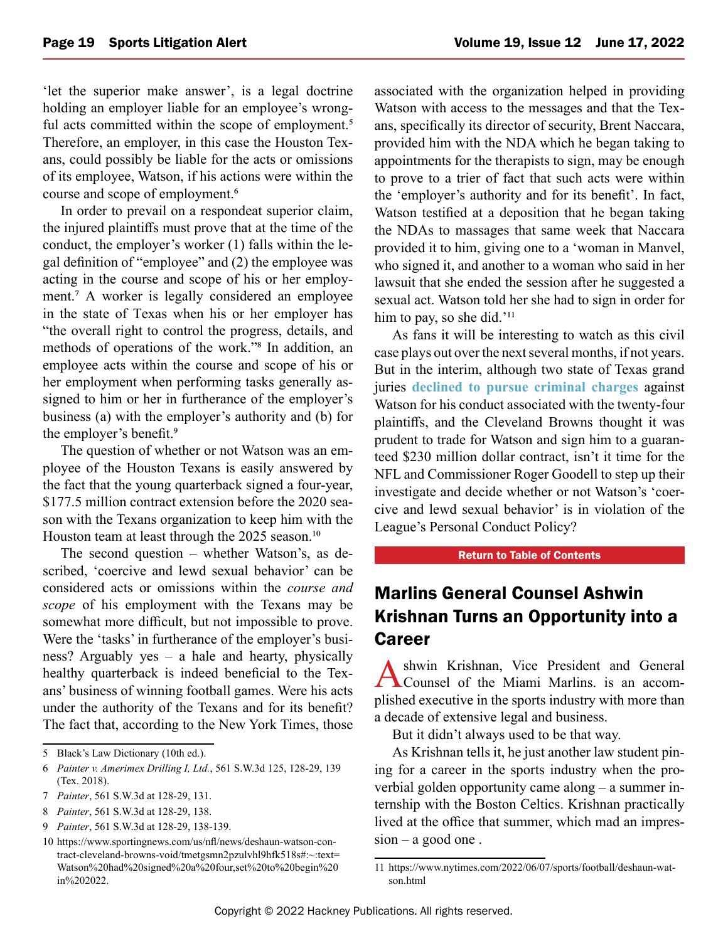<span id="page-18-0"></span>'let the superior make answer', is a legal doctrine holding an employer liable for an employee's wrongful acts committed within the scope of employment.<sup>5</sup> Therefore, an employer, in this case the Houston Texans, could possibly be liable for the acts or omissions of its employee, Watson, if his actions were within the course and scope of employment.6

In order to prevail on a respondeat superior claim, the injured plaintiffs must prove that at the time of the conduct, the employer's worker (1) falls within the legal definition of "employee" and (2) the employee was acting in the course and scope of his or her employment.7 A worker is legally considered an employee in the state of Texas when his or her employer has "the overall right to control the progress, details, and methods of operations of the work."8 In addition, an employee acts within the course and scope of his or her employment when performing tasks generally assigned to him or her in furtherance of the employer's business (a) with the employer's authority and (b) for the employer's benefit.9

The question of whether or not Watson was an employee of the Houston Texans is easily answered by the fact that the young quarterback signed a four-year, \$177.5 million contract extension before the 2020 season with the Texans organization to keep him with the Houston team at least through the 2025 season.<sup>10</sup>

The second question – whether Watson's, as described, 'coercive and lewd sexual behavior' can be considered acts or omissions within the *course and scope* of his employment with the Texans may be somewhat more difficult, but not impossible to prove. Were the 'tasks' in furtherance of the employer's business? Arguably yes – a hale and hearty, physically healthy quarterback is indeed beneficial to the Texans' business of winning football games. Were his acts under the authority of the Texans and for its benefit? The fact that, according to the New York Times, those

associated with the organization helped in providing Watson with access to the messages and that the Texans, specifically its director of security, Brent Naccara, provided him with the NDA which he began taking to appointments for the therapists to sign, may be enough to prove to a trier of fact that such acts were within the 'employer's authority and for its benefit'. In fact, Watson testified at a deposition that he began taking the NDAs to massages that same week that Naccara provided it to him, giving one to a 'woman in Manvel, who signed it, and another to a woman who said in her lawsuit that she ended the session after he suggested a sexual act. Watson told her she had to sign in order for him to pay, so she did.'<sup>11</sup>

As fans it will be interesting to watch as this civil case plays out over the next several months, if not years. But in the interim, although two state of Texas grand juries **[declined to pursue criminal charges](https://www.upi.com/Top_News/US/2022/03/12/Houston-Texans-Deshaun-Watson-no-criminal-charges/2621647123838/)** against Watson for his conduct associated with the twenty-four plaintiffs, and the Cleveland Browns thought it was prudent to trade for Watson and sign him to a guaranteed \$230 million dollar contract, isn't it time for the NFL and Commissioner Roger Goodell to step up their investigate and decide whether or not Watson's 'coercive and lewd sexual behavior' is in violation of the League's Personal Conduct Policy?

#### [Return to Table of Contents](#page-0-0)

## Marlins General Counsel Ashwin Krishnan Turns an Opportunity into a Career

Ashwin Krishnan, Vice President and General Counsel of the Miami Marlins. is an accomplished executive in the sports industry with more than a decade of extensive legal and business.

But it didn't always used to be that way.

As Krishnan tells it, he just another law student pining for a career in the sports industry when the proverbial golden opportunity came along – a summer internship with the Boston Celtics. Krishnan practically lived at the office that summer, which mad an impres $sion - a$  good one.

<sup>5</sup> Black's Law Dictionary (10th ed.).

<sup>6</sup> *Painter v. Amerimex Drilling I, Ltd.*, 561 S.W.3d 125, 128-29, 139 (Tex. 2018).

<sup>7</sup> *Painter*, 561 S.W.3d at 128-29, 131.

<sup>8</sup> *Painter*, 561 S.W.3d at 128-29, 138.

<sup>9</sup> *Painter*, 561 S.W.3d at 128-29, 138-139.

<sup>10</sup> https://www.sportingnews.com/us/nfl/news/deshaun-watson-contract-cleveland-browns-void/tmetgsmn2pzulvhl9hfk518s#:~:text= Watson%20had%20signed%20a%20four,set%20to%20begin%20 in%202022.

<sup>11</sup> https://www.nytimes.com/2022/06/07/sports/football/deshaun-watson.html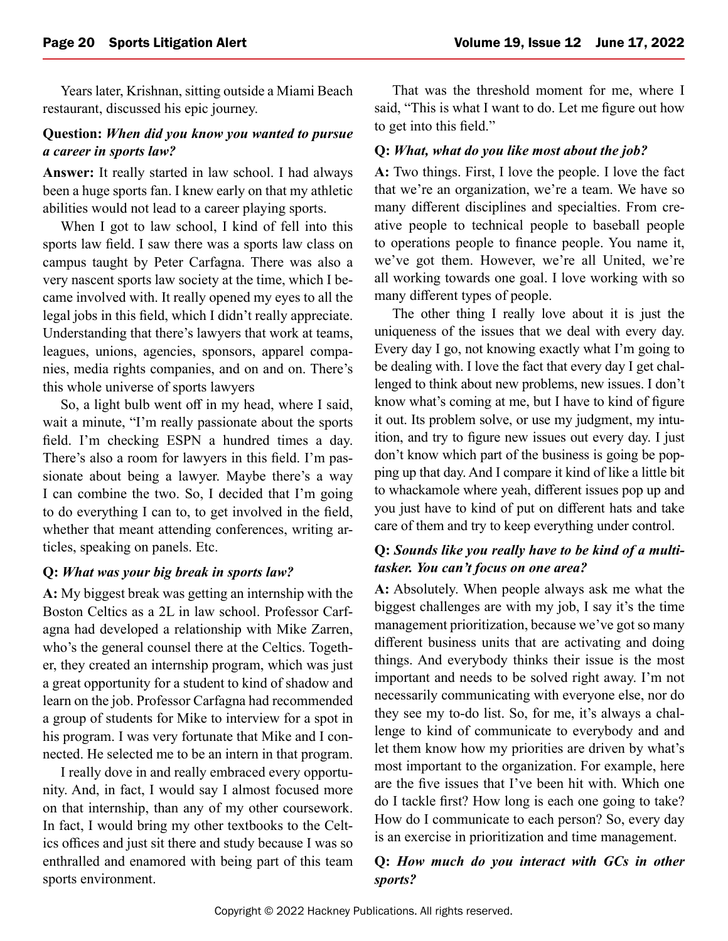Years later, Krishnan, sitting outside a Miami Beach restaurant, discussed his epic journey.

#### **Question:** *When did you know you wanted to pursue a career in sports law?*

**Answer:** It really started in law school. I had always been a huge sports fan. I knew early on that my athletic abilities would not lead to a career playing sports.

When I got to law school, I kind of fell into this sports law field. I saw there was a sports law class on campus taught by Peter Carfagna. There was also a very nascent sports law society at the time, which I became involved with. It really opened my eyes to all the legal jobs in this field, which I didn't really appreciate. Understanding that there's lawyers that work at teams, leagues, unions, agencies, sponsors, apparel companies, media rights companies, and on and on. There's this whole universe of sports lawyers

So, a light bulb went off in my head, where I said, wait a minute, "I'm really passionate about the sports field. I'm checking ESPN a hundred times a day. There's also a room for lawyers in this field. I'm passionate about being a lawyer. Maybe there's a way I can combine the two. So, I decided that I'm going to do everything I can to, to get involved in the field, whether that meant attending conferences, writing articles, speaking on panels. Etc.

#### **Q:** *What was your big break in sports law?*

**A:** My biggest break was getting an internship with the Boston Celtics as a 2L in law school. Professor Carfagna had developed a relationship with Mike Zarren, who's the general counsel there at the Celtics. Together, they created an internship program, which was just a great opportunity for a student to kind of shadow and learn on the job. Professor Carfagna had recommended a group of students for Mike to interview for a spot in his program. I was very fortunate that Mike and I connected. He selected me to be an intern in that program.

I really dove in and really embraced every opportunity. And, in fact, I would say I almost focused more on that internship, than any of my other coursework. In fact, I would bring my other textbooks to the Celtics offices and just sit there and study because I was so enthralled and enamored with being part of this team sports environment.

That was the threshold moment for me, where I said, "This is what I want to do. Let me figure out how to get into this field."

#### **Q:** *What, what do you like most about the job?*

**A:** Two things. First, I love the people. I love the fact that we're an organization, we're a team. We have so many different disciplines and specialties. From creative people to technical people to baseball people to operations people to finance people. You name it, we've got them. However, we're all United, we're all working towards one goal. I love working with so many different types of people.

The other thing I really love about it is just the uniqueness of the issues that we deal with every day. Every day I go, not knowing exactly what I'm going to be dealing with. I love the fact that every day I get challenged to think about new problems, new issues. I don't know what's coming at me, but I have to kind of figure it out. Its problem solve, or use my judgment, my intuition, and try to figure new issues out every day. I just don't know which part of the business is going be popping up that day. And I compare it kind of like a little bit to whackamole where yeah, different issues pop up and you just have to kind of put on different hats and take care of them and try to keep everything under control.

#### **Q:** *Sounds like you really have to be kind of a multitasker. You can't focus on one area?*

**A:** Absolutely. When people always ask me what the biggest challenges are with my job, I say it's the time management prioritization, because we've got so many different business units that are activating and doing things. And everybody thinks their issue is the most important and needs to be solved right away. I'm not necessarily communicating with everyone else, nor do they see my to-do list. So, for me, it's always a challenge to kind of communicate to everybody and and let them know how my priorities are driven by what's most important to the organization. For example, here are the five issues that I've been hit with. Which one do I tackle first? How long is each one going to take? How do I communicate to each person? So, every day is an exercise in prioritization and time management.

#### **Q:** *How much do you interact with GCs in other sports?*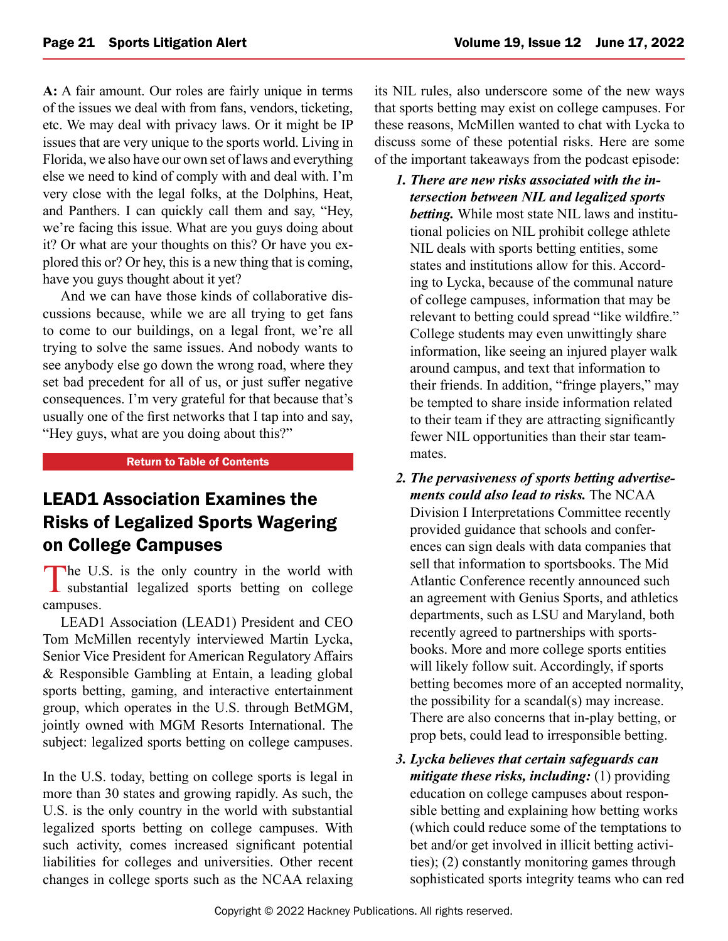<span id="page-20-0"></span>**A:** A fair amount. Our roles are fairly unique in terms of the issues we deal with from fans, vendors, ticketing, etc. We may deal with privacy laws. Or it might be IP issues that are very unique to the sports world. Living in Florida, we also have our own set of laws and everything else we need to kind of comply with and deal with. I'm very close with the legal folks, at the Dolphins, Heat, and Panthers. I can quickly call them and say, "Hey, we're facing this issue. What are you guys doing about it? Or what are your thoughts on this? Or have you explored this or? Or hey, this is a new thing that is coming, have you guys thought about it yet?

And we can have those kinds of collaborative discussions because, while we are all trying to get fans to come to our buildings, on a legal front, we're all trying to solve the same issues. And nobody wants to see anybody else go down the wrong road, where they set bad precedent for all of us, or just suffer negative consequences. I'm very grateful for that because that's usually one of the first networks that I tap into and say, "Hey guys, what are you doing about this?"

#### [Return to Table of Contents](#page-0-0)

## LEAD1 Association Examines the Risks of Legalized Sports Wagering on College Campuses

The U.S. is the only country in the world with substantial legalized sports betting on college campuses.

LEAD1 Association (LEAD1) President and CEO Tom McMillen recentyly interviewed Martin Lycka, Senior Vice President for American Regulatory Affairs & Responsible Gambling at Entain, a leading global sports betting, gaming, and interactive entertainment group, which operates in the U.S. through BetMGM, jointly owned with MGM Resorts International. The subject: legalized sports betting on college campuses.

In the U.S. today, betting on college sports is legal in more than 30 states and growing rapidly. As such, the U.S. is the only country in the world with substantial legalized sports betting on college campuses. With such activity, comes increased significant potential liabilities for colleges and universities. Other recent changes in college sports such as the NCAA relaxing its NIL rules, also underscore some of the new ways that sports betting may exist on college campuses. For these reasons, McMillen wanted to chat with Lycka to discuss some of these potential risks. Here are some of the important takeaways from the podcast episode:

- *1. There are new risks associated with the intersection between NIL and legalized sports betting.* While most state NIL laws and institutional policies on NIL prohibit college athlete NIL deals with sports betting entities, some states and institutions allow for this. According to Lycka, because of the communal nature of college campuses, information that may be relevant to betting could spread "like wildfire." College students may even unwittingly share information, like seeing an injured player walk around campus, and text that information to their friends. In addition, "fringe players," may be tempted to share inside information related to their team if they are attracting significantly fewer NIL opportunities than their star teammates.
- *2. The pervasiveness of sports betting advertisements could also lead to risks.* The NCAA Division I Interpretations Committee recently provided guidance that schools and conferences can sign deals with data companies that sell that information to sportsbooks. The Mid Atlantic Conference recently announced such an agreement with Genius Sports, and athletics departments, such as LSU and Maryland, both recently agreed to partnerships with sportsbooks. More and more college sports entities will likely follow suit. Accordingly, if sports betting becomes more of an accepted normality, the possibility for a scandal(s) may increase. There are also concerns that in-play betting, or prop bets, could lead to irresponsible betting.
- *3. Lycka believes that certain safeguards can mitigate these risks, including:* (1) providing education on college campuses about responsible betting and explaining how betting works (which could reduce some of the temptations to bet and/or get involved in illicit betting activities); (2) constantly monitoring games through sophisticated sports integrity teams who can red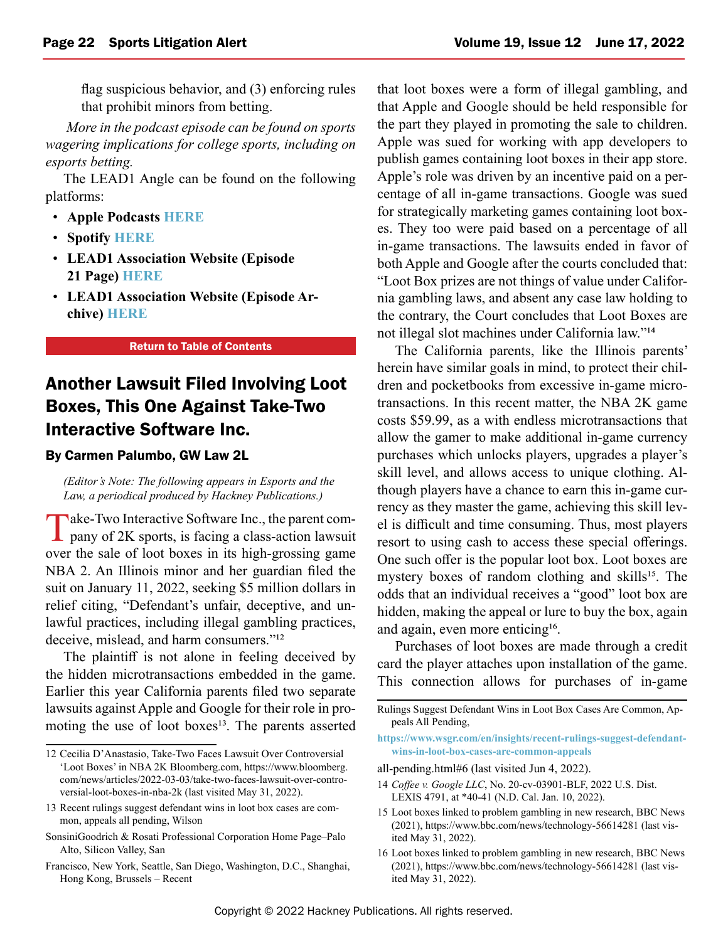<span id="page-21-0"></span>flag suspicious behavior, and (3) enforcing rules that prohibit minors from betting.

*More in the podcast episode can be found on sports wagering implications for college sports, including on esports betting.*

The LEAD1 Angle can be found on the following platforms:

- **Apple Podcasts [HERE](https://lead1association.us19.list-manage.com/track/click?u=0d0430b0856fd40808d7fef1d&id=3d9b6ab7f9&e=2ea0bfb7d6)**
- **Spotify [HERE](https://lead1association.us19.list-manage.com/track/click?u=0d0430b0856fd40808d7fef1d&id=ef6b172b22&e=2ea0bfb7d6)**
- **LEAD1 Association Website (Episode 21 Page) [HERE](https://lead1association.us19.list-manage.com/track/click?u=0d0430b0856fd40808d7fef1d&id=044e20da7e&e=2ea0bfb7d6)**
- **LEAD1 Association Website (Episode Archive) [HERE](https://lead1association.us19.list-manage.com/track/click?u=0d0430b0856fd40808d7fef1d&id=4bca7d2afd&e=2ea0bfb7d6)**

#### [Return to Table of Contents](#page-0-0)

## Another Lawsuit Filed Involving Loot Boxes, This One Against Take-Two Interactive Software Inc.

#### By Carmen Palumbo, GW Law 2L

*(Editor's Note: The following appears in Esports and the Law, a periodical produced by Hackney Publications.)*

Take-Two Interactive Software Inc., the parent com-<br>pany of 2K sports, is facing a class-action lawsuit over the sale of loot boxes in its high-grossing game NBA 2. An Illinois minor and her guardian filed the suit on January 11, 2022, seeking \$5 million dollars in relief citing, "Defendant's unfair, deceptive, and unlawful practices, including illegal gambling practices, deceive, mislead, and harm consumers."<sup>12</sup>

The plaintiff is not alone in feeling deceived by the hidden microtransactions embedded in the game. Earlier this year California parents filed two separate lawsuits against Apple and Google for their role in promoting the use of loot boxes<sup>13</sup>. The parents asserted that loot boxes were a form of illegal gambling, and that Apple and Google should be held responsible for the part they played in promoting the sale to children. Apple was sued for working with app developers to publish games containing loot boxes in their app store. Apple's role was driven by an incentive paid on a percentage of all in-game transactions. Google was sued for strategically marketing games containing loot boxes. They too were paid based on a percentage of all in-game transactions. The lawsuits ended in favor of both Apple and Google after the courts concluded that: "Loot Box prizes are not things of value under California gambling laws, and absent any case law holding to the contrary, the Court concludes that Loot Boxes are not illegal slot machines under California law."14

The California parents, like the Illinois parents' herein have similar goals in mind, to protect their children and pocketbooks from excessive in-game microtransactions. In this recent matter, the NBA 2K game costs \$59.99, as a with endless microtransactions that allow the gamer to make additional in-game currency purchases which unlocks players, upgrades a player's skill level, and allows access to unique clothing. Although players have a chance to earn this in-game currency as they master the game, achieving this skill level is difficult and time consuming. Thus, most players resort to using cash to access these special offerings. One such offer is the popular loot box. Loot boxes are mystery boxes of random clothing and skills<sup>15</sup>. The odds that an individual receives a "good" loot box are hidden, making the appeal or lure to buy the box, again and again, even more enticing<sup>16</sup>.

Purchases of loot boxes are made through a credit card the player attaches upon installation of the game. This connection allows for purchases of in-game

**[https://www.wsgr.com/en/insights/recent-rulings-suggest-defendant](https://www.wsgr.com/en/insights/recent-rulings-suggest-defendant-wins-in-loot-box-cases-are-common-appeals)[wins-in-loot-box-cases-are-common-appeals](https://www.wsgr.com/en/insights/recent-rulings-suggest-defendant-wins-in-loot-box-cases-are-common-appeals)**

- 14 *Coffee v. Google LLC*, No. 20-cv-03901-BLF, 2022 U.S. Dist. LEXIS 4791, at \*40-41 (N.D. Cal. Jan. 10, 2022).
- 15 Loot boxes linked to problem gambling in new research, BBC News (2021), https://www.bbc.com/news/technology-56614281 (last visited May 31, 2022).
- 16 Loot boxes linked to problem gambling in new research, BBC News (2021), https://www.bbc.com/news/technology-56614281 (last visited May 31, 2022).

<sup>12</sup> Cecilia D'Anastasio, Take-Two Faces Lawsuit Over Controversial 'Loot Boxes' in NBA 2K Bloomberg.com, https://www.bloomberg. com/news/articles/2022-03-03/take-two-faces-lawsuit-over-controversial-loot-boxes-in-nba-2k (last visited May 31, 2022).

<sup>13</sup> Recent rulings suggest defendant wins in loot box cases are common, appeals all pending, Wilson

SonsiniGoodrich & Rosati Professional Corporation Home Page–Palo Alto, Silicon Valley, San

Francisco, New York, Seattle, San Diego, Washington, D.C., Shanghai, Hong Kong, Brussels – Recent

Rulings Suggest Defendant Wins in Loot Box Cases Are Common, Appeals All Pending,

all-pending.html#6 (last visited Jun 4, 2022).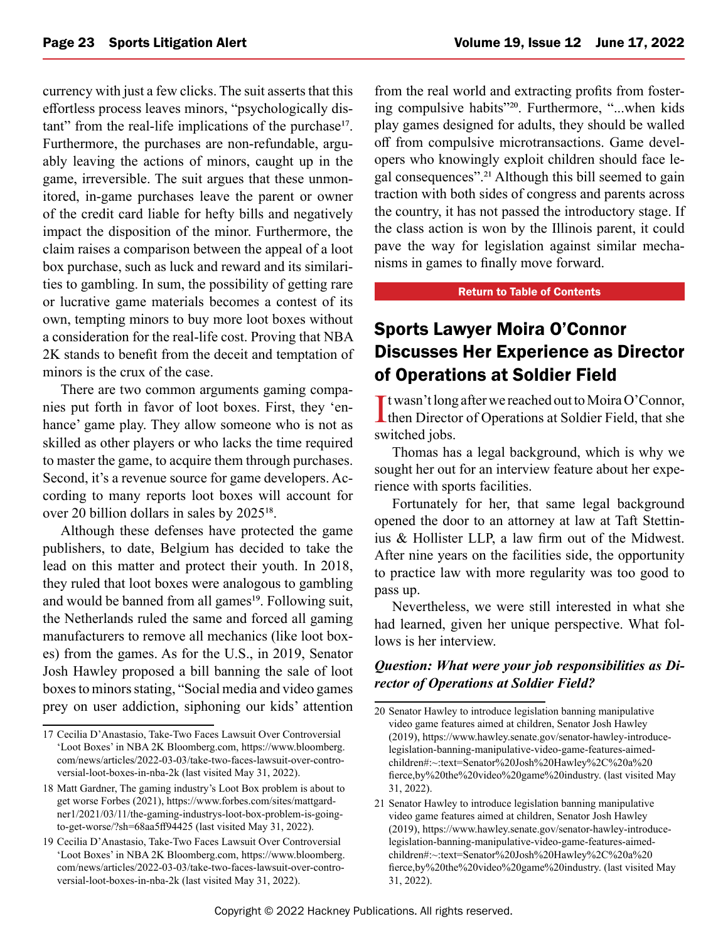<span id="page-22-0"></span>currency with just a few clicks. The suit asserts that this effortless process leaves minors, "psychologically distant" from the real-life implications of the purchase<sup>17</sup>. Furthermore, the purchases are non-refundable, arguably leaving the actions of minors, caught up in the game, irreversible. The suit argues that these unmonitored, in-game purchases leave the parent or owner of the credit card liable for hefty bills and negatively impact the disposition of the minor. Furthermore, the claim raises a comparison between the appeal of a loot box purchase, such as luck and reward and its similarities to gambling. In sum, the possibility of getting rare or lucrative game materials becomes a contest of its own, tempting minors to buy more loot boxes without a consideration for the real-life cost. Proving that NBA 2K stands to benefit from the deceit and temptation of minors is the crux of the case.

There are two common arguments gaming companies put forth in favor of loot boxes. First, they 'enhance' game play. They allow someone who is not as skilled as other players or who lacks the time required to master the game, to acquire them through purchases. Second, it's a revenue source for game developers. According to many reports loot boxes will account for over 20 billion dollars in sales by 202518.

Although these defenses have protected the game publishers, to date, Belgium has decided to take the lead on this matter and protect their youth. In 2018, they ruled that loot boxes were analogous to gambling and would be banned from all games<sup>19</sup>. Following suit, the Netherlands ruled the same and forced all gaming manufacturers to remove all mechanics (like loot boxes) from the games. As for the U.S., in 2019, Senator Josh Hawley proposed a bill banning the sale of loot boxes to minors stating, "Social media and video games prey on user addiction, siphoning our kids' attention

from the real world and extracting profits from fostering compulsive habits"<sup>20</sup>. Furthermore, "...when kids play games designed for adults, they should be walled off from compulsive microtransactions. Game developers who knowingly exploit children should face legal consequences".21 Although this bill seemed to gain traction with both sides of congress and parents across the country, it has not passed the introductory stage. If the class action is won by the Illinois parent, it could pave the way for legislation against similar mechanisms in games to finally move forward.

#### [Return to Table of Contents](#page-0-0)

## Sports Lawyer Moira O'Connor Discusses Her Experience as Director of Operations at Soldier Field

It wasn't long after we reached out to Moira O'Connor,<br>then Director of Operations at Soldier Field, that she I twasn't long after we reached out to Moira O'Connor, switched jobs.

Thomas has a legal background, which is why we sought her out for an interview feature about her experience with sports facilities.

Fortunately for her, that same legal background opened the door to an attorney at law at Taft Stettinius & Hollister LLP, a law firm out of the Midwest. After nine years on the facilities side, the opportunity to practice law with more regularity was too good to pass up.

Nevertheless, we were still interested in what she had learned, given her unique perspective. What follows is her interview.

#### *Question: What were your job responsibilities as Director of Operations at Soldier Field?*

<sup>17</sup> Cecilia D'Anastasio, Take-Two Faces Lawsuit Over Controversial 'Loot Boxes' in NBA 2K Bloomberg.com, https://www.bloomberg. com/news/articles/2022-03-03/take-two-faces-lawsuit-over-controversial-loot-boxes-in-nba-2k (last visited May 31, 2022).

<sup>18</sup> Matt Gardner, The gaming industry's Loot Box problem is about to get worse Forbes (2021), https://www.forbes.com/sites/mattgardner1/2021/03/11/the-gaming-industrys-loot-box-problem-is-goingto-get-worse/?sh=68aa5ff94425 (last visited May 31, 2022).

<sup>19</sup> Cecilia D'Anastasio, Take-Two Faces Lawsuit Over Controversial 'Loot Boxes' in NBA 2K Bloomberg.com, https://www.bloomberg. com/news/articles/2022-03-03/take-two-faces-lawsuit-over-controversial-loot-boxes-in-nba-2k (last visited May 31, 2022).

<sup>20</sup> Senator Hawley to introduce legislation banning manipulative video game features aimed at children, Senator Josh Hawley (2019), https://www.hawley.senate.gov/senator-hawley-introducelegislation-banning-manipulative-video-game-features-aimedchildren#:~:text=Senator%20Josh%20Hawley%2C%20a%20 fierce,by%20the%20video%20game%20industry. (last visited May 31, 2022).

<sup>21</sup> Senator Hawley to introduce legislation banning manipulative video game features aimed at children, Senator Josh Hawley (2019), https://www.hawley.senate.gov/senator-hawley-introducelegislation-banning-manipulative-video-game-features-aimedchildren#:~:text=Senator%20Josh%20Hawley%2C%20a%20 fierce,by%20the%20video%20game%20industry. (last visited May 31, 2022).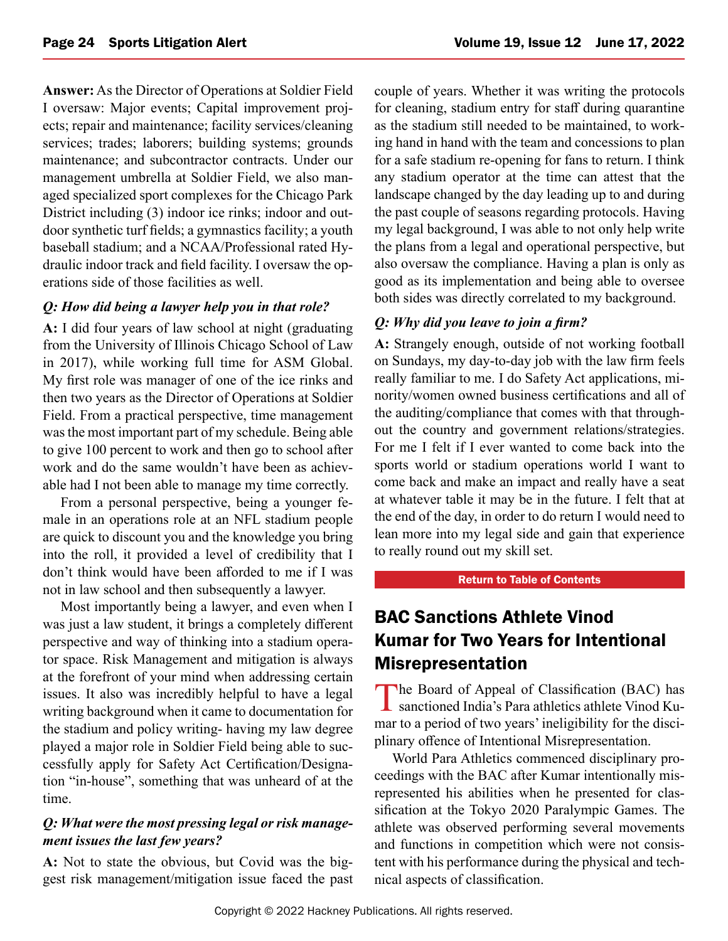<span id="page-23-0"></span>**Answer:** As the Director of Operations at Soldier Field I oversaw: Major events; Capital improvement projects; repair and maintenance; facility services/cleaning services; trades; laborers; building systems; grounds maintenance; and subcontractor contracts. Under our management umbrella at Soldier Field, we also managed specialized sport complexes for the Chicago Park District including (3) indoor ice rinks; indoor and outdoor synthetic turf fields; a gymnastics facility; a youth baseball stadium; and a NCAA/Professional rated Hydraulic indoor track and field facility. I oversaw the operations side of those facilities as well.

#### *Q: How did being a lawyer help you in that role?*

**A:** I did four years of law school at night (graduating from the University of Illinois Chicago School of Law in 2017), while working full time for ASM Global. My first role was manager of one of the ice rinks and then two years as the Director of Operations at Soldier Field. From a practical perspective, time management was the most important part of my schedule. Being able to give 100 percent to work and then go to school after work and do the same wouldn't have been as achievable had I not been able to manage my time correctly.

From a personal perspective, being a younger female in an operations role at an NFL stadium people are quick to discount you and the knowledge you bring into the roll, it provided a level of credibility that I don't think would have been afforded to me if I was not in law school and then subsequently a lawyer.

Most importantly being a lawyer, and even when I was just a law student, it brings a completely different perspective and way of thinking into a stadium operator space. Risk Management and mitigation is always at the forefront of your mind when addressing certain issues. It also was incredibly helpful to have a legal writing background when it came to documentation for the stadium and policy writing- having my law degree played a major role in Soldier Field being able to successfully apply for Safety Act Certification/Designation "in-house", something that was unheard of at the time.

#### *Q: What were the most pressing legal or risk management issues the last few years?*

**A:** Not to state the obvious, but Covid was the biggest risk management/mitigation issue faced the past couple of years. Whether it was writing the protocols for cleaning, stadium entry for staff during quarantine as the stadium still needed to be maintained, to working hand in hand with the team and concessions to plan for a safe stadium re-opening for fans to return. I think any stadium operator at the time can attest that the landscape changed by the day leading up to and during the past couple of seasons regarding protocols. Having my legal background, I was able to not only help write the plans from a legal and operational perspective, but also oversaw the compliance. Having a plan is only as good as its implementation and being able to oversee both sides was directly correlated to my background.

#### *Q: Why did you leave to join a firm?*

**A:** Strangely enough, outside of not working football on Sundays, my day-to-day job with the law firm feels really familiar to me. I do Safety Act applications, minority/women owned business certifications and all of the auditing/compliance that comes with that throughout the country and government relations/strategies. For me I felt if I ever wanted to come back into the sports world or stadium operations world I want to come back and make an impact and really have a seat at whatever table it may be in the future. I felt that at the end of the day, in order to do return I would need to lean more into my legal side and gain that experience to really round out my skill set.

#### [Return to Table of Contents](#page-0-0)

## BAC Sanctions Athlete Vinod Kumar for Two Years for Intentional Misrepresentation

The Board of Appeal of Classification (BAC) has sanctioned India's Para athletics athlete Vinod Kumar to a period of two years' ineligibility for the disciplinary offence of Intentional Misrepresentation.

World Para Athletics commenced disciplinary proceedings with the BAC after Kumar intentionally misrepresented his abilities when he presented for classification at the Tokyo 2020 Paralympic Games. The athlete was observed performing several movements and functions in competition which were not consistent with his performance during the physical and technical aspects of classification.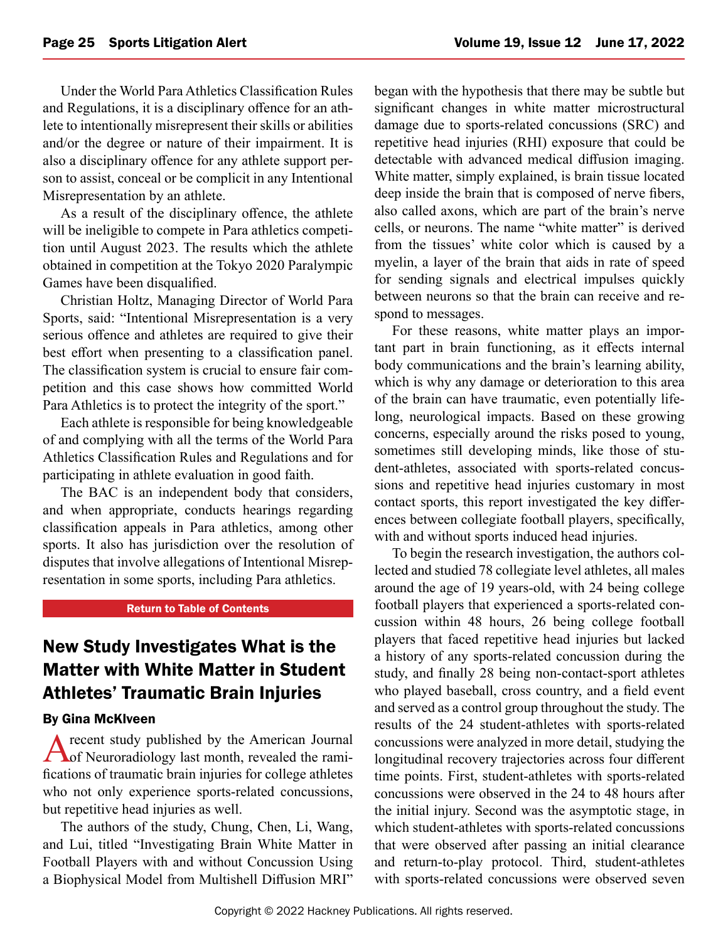<span id="page-24-0"></span>Under the World Para Athletics Classification Rules and Regulations, it is a disciplinary offence for an athlete to intentionally misrepresent their skills or abilities and/or the degree or nature of their impairment. It is also a disciplinary offence for any athlete support person to assist, conceal or be complicit in any Intentional Misrepresentation by an athlete.

As a result of the disciplinary offence, the athlete will be ineligible to compete in Para athletics competition until August 2023. The results which the athlete obtained in competition at the Tokyo 2020 Paralympic Games have been disqualified.

Christian Holtz, Managing Director of World Para Sports, said: "Intentional Misrepresentation is a very serious offence and athletes are required to give their best effort when presenting to a classification panel. The classification system is crucial to ensure fair competition and this case shows how committed World Para Athletics is to protect the integrity of the sport."

Each athlete is responsible for being knowledgeable of and complying with all the terms of the World Para Athletics Classification Rules and Regulations and for participating in athlete evaluation in good faith.

The BAC is an independent body that considers, and when appropriate, conducts hearings regarding classification appeals in Para athletics, among other sports. It also has jurisdiction over the resolution of disputes that involve allegations of Intentional Misrepresentation in some sports, including Para athletics.

#### [Return to Table of Contents](#page-0-0)

## New Study Investigates What is the Matter with White Matter in Student Athletes' Traumatic Brain Injuries

#### By Gina McKlveen

A recent study published by the American Journal<br>
of Neuroradiology last month, revealed the ramifications of traumatic brain injuries for college athletes who not only experience sports-related concussions, but repetitive head injuries as well.

The authors of the study, Chung, Chen, Li, Wang, and Lui, titled "Investigating Brain White Matter in Football Players with and without Concussion Using a Biophysical Model from Multishell Diffusion MRI" began with the hypothesis that there may be subtle but significant changes in white matter microstructural damage due to sports-related concussions (SRC) and repetitive head injuries (RHI) exposure that could be detectable with advanced medical diffusion imaging. White matter, simply explained, is brain tissue located deep inside the brain that is composed of nerve fibers, also called axons, which are part of the brain's nerve cells, or neurons. The name "white matter" is derived from the tissues' white color which is caused by a myelin, a layer of the brain that aids in rate of speed for sending signals and electrical impulses quickly between neurons so that the brain can receive and respond to messages.

For these reasons, white matter plays an important part in brain functioning, as it effects internal body communications and the brain's learning ability, which is why any damage or deterioration to this area of the brain can have traumatic, even potentially lifelong, neurological impacts. Based on these growing concerns, especially around the risks posed to young, sometimes still developing minds, like those of student-athletes, associated with sports-related concussions and repetitive head injuries customary in most contact sports, this report investigated the key differences between collegiate football players, specifically, with and without sports induced head injuries.

To begin the research investigation, the authors collected and studied 78 collegiate level athletes, all males around the age of 19 years-old, with 24 being college football players that experienced a sports-related concussion within 48 hours, 26 being college football players that faced repetitive head injuries but lacked a history of any sports-related concussion during the study, and finally 28 being non-contact-sport athletes who played baseball, cross country, and a field event and served as a control group throughout the study. The results of the 24 student-athletes with sports-related concussions were analyzed in more detail, studying the longitudinal recovery trajectories across four different time points. First, student-athletes with sports-related concussions were observed in the 24 to 48 hours after the initial injury. Second was the asymptotic stage, in which student-athletes with sports-related concussions that were observed after passing an initial clearance and return-to-play protocol. Third, student-athletes with sports-related concussions were observed seven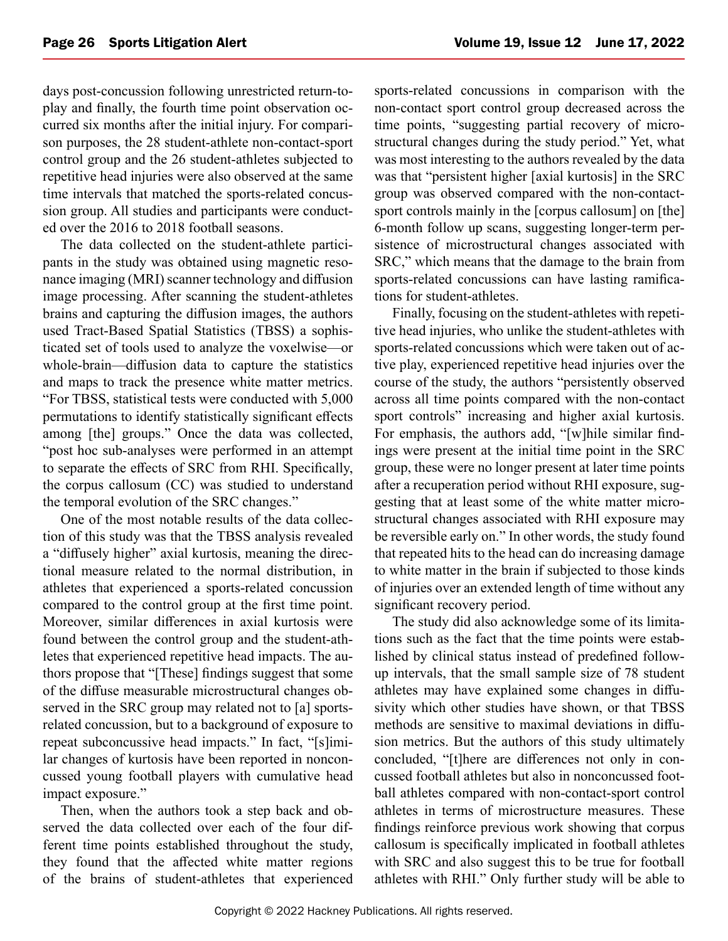days post-concussion following unrestricted return-toplay and finally, the fourth time point observation occurred six months after the initial injury. For comparison purposes, the 28 student-athlete non-contact-sport control group and the 26 student-athletes subjected to repetitive head injuries were also observed at the same time intervals that matched the sports-related concussion group. All studies and participants were conducted over the 2016 to 2018 football seasons.

The data collected on the student-athlete participants in the study was obtained using magnetic resonance imaging (MRI) scanner technology and diffusion image processing. After scanning the student-athletes brains and capturing the diffusion images, the authors used Tract-Based Spatial Statistics (TBSS) a sophisticated set of tools used to analyze the voxelwise—or whole-brain—diffusion data to capture the statistics and maps to track the presence white matter metrics. "For TBSS, statistical tests were conducted with 5,000 permutations to identify statistically significant effects among [the] groups." Once the data was collected, "post hoc sub-analyses were performed in an attempt to separate the effects of SRC from RHI. Specifically, the corpus callosum (CC) was studied to understand the temporal evolution of the SRC changes."

One of the most notable results of the data collection of this study was that the TBSS analysis revealed a "diffusely higher" axial kurtosis, meaning the directional measure related to the normal distribution, in athletes that experienced a sports-related concussion compared to the control group at the first time point. Moreover, similar differences in axial kurtosis were found between the control group and the student-athletes that experienced repetitive head impacts. The authors propose that "[These] findings suggest that some of the diffuse measurable microstructural changes observed in the SRC group may related not to [a] sportsrelated concussion, but to a background of exposure to repeat subconcussive head impacts." In fact, "[s]imilar changes of kurtosis have been reported in nonconcussed young football players with cumulative head impact exposure."

Then, when the authors took a step back and observed the data collected over each of the four different time points established throughout the study, they found that the affected white matter regions of the brains of student-athletes that experienced sports-related concussions in comparison with the non-contact sport control group decreased across the time points, "suggesting partial recovery of microstructural changes during the study period." Yet, what was most interesting to the authors revealed by the data was that "persistent higher [axial kurtosis] in the SRC group was observed compared with the non-contactsport controls mainly in the [corpus callosum] on [the] 6-month follow up scans, suggesting longer-term persistence of microstructural changes associated with SRC," which means that the damage to the brain from sports-related concussions can have lasting ramifications for student-athletes.

Finally, focusing on the student-athletes with repetitive head injuries, who unlike the student-athletes with sports-related concussions which were taken out of active play, experienced repetitive head injuries over the course of the study, the authors "persistently observed across all time points compared with the non-contact sport controls" increasing and higher axial kurtosis. For emphasis, the authors add, "[w]hile similar findings were present at the initial time point in the SRC group, these were no longer present at later time points after a recuperation period without RHI exposure, suggesting that at least some of the white matter microstructural changes associated with RHI exposure may be reversible early on." In other words, the study found that repeated hits to the head can do increasing damage to white matter in the brain if subjected to those kinds of injuries over an extended length of time without any significant recovery period.

The study did also acknowledge some of its limitations such as the fact that the time points were established by clinical status instead of predefined followup intervals, that the small sample size of 78 student athletes may have explained some changes in diffusivity which other studies have shown, or that TBSS methods are sensitive to maximal deviations in diffusion metrics. But the authors of this study ultimately concluded, "[t]here are differences not only in concussed football athletes but also in nonconcussed football athletes compared with non-contact-sport control athletes in terms of microstructure measures. These findings reinforce previous work showing that corpus callosum is specifically implicated in football athletes with SRC and also suggest this to be true for football athletes with RHI." Only further study will be able to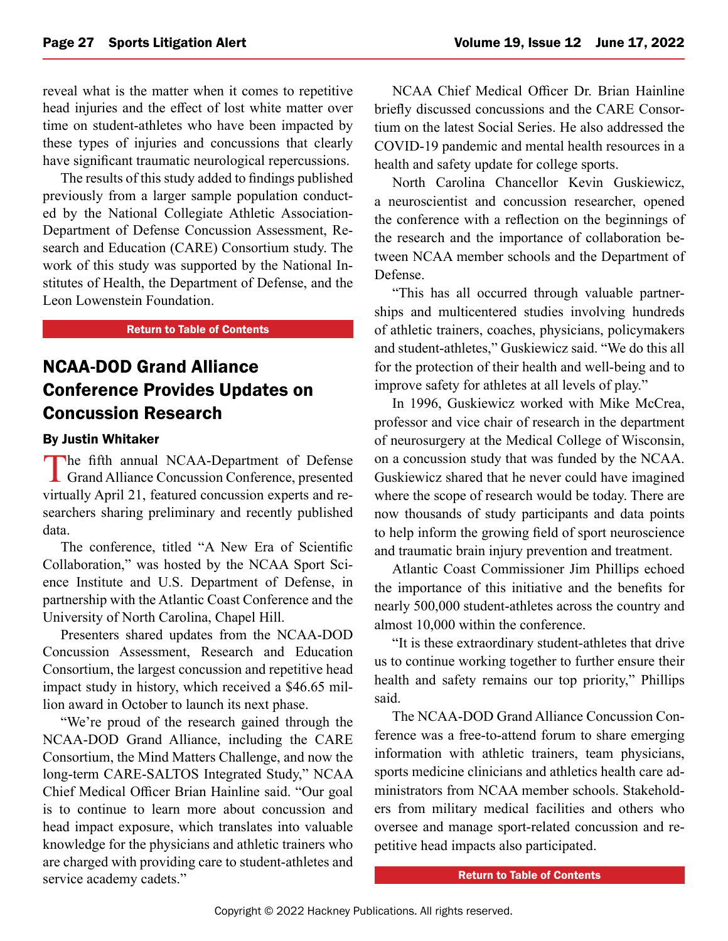<span id="page-26-0"></span>reveal what is the matter when it comes to repetitive head injuries and the effect of lost white matter over time on student-athletes who have been impacted by these types of injuries and concussions that clearly have significant traumatic neurological repercussions.

The results of this study added to findings published previously from a larger sample population conducted by the National Collegiate Athletic Association-Department of Defense Concussion Assessment, Research and Education (CARE) Consortium study. The work of this study was supported by the National Institutes of Health, the Department of Defense, and the Leon Lowenstein Foundation.

#### [Return to Table of Contents](#page-0-0)

## NCAA-DOD Grand Alliance Conference Provides Updates on Concussion Research

#### By Justin Whitaker

The fifth annual NCAA-Department of Defense Grand Alliance Concussion Conference, presented virtually April 21, featured concussion experts and researchers sharing preliminary and recently published data.

The conference, titled "A New Era of Scientific Collaboration," was hosted by the NCAA Sport Science Institute and U.S. Department of Defense, in partnership with the Atlantic Coast Conference and the University of North Carolina, Chapel Hill.

Presenters shared updates from the NCAA-DOD Concussion Assessment, Research and Education Consortium, the largest concussion and repetitive head impact study in history, which received a \$46.65 million award in October to launch its next phase.

"We're proud of the research gained through the NCAA-DOD Grand Alliance, including the CARE Consortium, the Mind Matters Challenge, and now the long-term CARE-SALTOS Integrated Study," NCAA Chief Medical Officer Brian Hainline said. "Our goal is to continue to learn more about concussion and head impact exposure, which translates into valuable knowledge for the physicians and athletic trainers who are charged with providing care to student-athletes and service academy cadets."

NCAA Chief Medical Officer Dr. Brian Hainline briefly discussed concussions and the CARE Consortium on the latest Social Series. He also addressed the COVID-19 pandemic and mental health resources in a health and safety update for college sports.

North Carolina Chancellor Kevin Guskiewicz, a neuroscientist and concussion researcher, opened the conference with a reflection on the beginnings of the research and the importance of collaboration between NCAA member schools and the Department of Defense.

"This has all occurred through valuable partnerships and multicentered studies involving hundreds of athletic trainers, coaches, physicians, policymakers and student-athletes," Guskiewicz said. "We do this all for the protection of their health and well-being and to improve safety for athletes at all levels of play."

In 1996, Guskiewicz worked with Mike McCrea, professor and vice chair of research in the department of neurosurgery at the Medical College of Wisconsin, on a concussion study that was funded by the NCAA. Guskiewicz shared that he never could have imagined where the scope of research would be today. There are now thousands of study participants and data points to help inform the growing field of sport neuroscience and traumatic brain injury prevention and treatment.

Atlantic Coast Commissioner Jim Phillips echoed the importance of this initiative and the benefits for nearly 500,000 student-athletes across the country and almost 10,000 within the conference.

"It is these extraordinary student-athletes that drive us to continue working together to further ensure their health and safety remains our top priority," Phillips said.

The NCAA-DOD Grand Alliance Concussion Conference was a free-to-attend forum to share emerging information with athletic trainers, team physicians, sports medicine clinicians and athletics health care administrators from NCAA member schools. Stakeholders from military medical facilities and others who oversee and manage sport-related concussion and repetitive head impacts also participated.

[Return to Table of Contents](#page-0-0)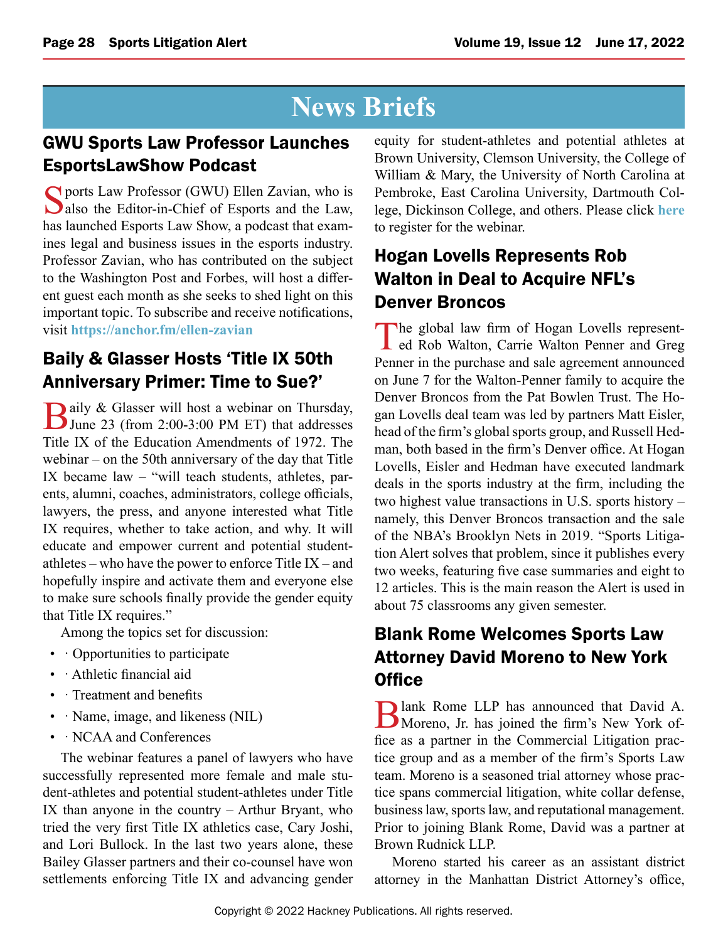## **News Briefs**

## <span id="page-27-0"></span>GWU Sports Law Professor Launches EsportsLawShow Podcast

Sports Law Professor (GWU) Ellen Zavian, who is also the Editor-in-Chief of Esports and the Law, has launched Esports Law Show, a podcast that examines legal and business issues in the esports industry. Professor Zavian, who has contributed on the subject to the Washington Post and Forbes, will host a different guest each month as she seeks to shed light on this important topic. To subscribe and receive notifications, visit **<https://anchor.fm/ellen-zavian>**

## Baily & Glasser Hosts 'Title IX 50th Anniversary Primer: Time to Sue?'

Baily & Glasser will host a webinar on Thursday,<br>June 23 (from 2:00-3:00 PM ET) that addresses Title IX of the Education Amendments of 1972. The webinar – on the 50th anniversary of the day that Title IX became law – "will teach students, athletes, parents, alumni, coaches, administrators, college officials, lawyers, the press, and anyone interested what Title IX requires, whether to take action, and why. It will educate and empower current and potential studentathletes – who have the power to enforce Title  $IX$  – and hopefully inspire and activate them and everyone else to make sure schools finally provide the gender equity that Title IX requires."

Among the topics set for discussion:

- Opportunities to participate
- · Athletic financial aid
- · Treatment and benefits
- · Name, image, and likeness (NIL)
- · NCAA and Conferences

The webinar features a panel of lawyers who have successfully represented more female and male student-athletes and potential student-athletes under Title IX than anyone in the country – Arthur Bryant, who tried the very first Title IX athletics case, Cary Joshi, and Lori Bullock. In the last two years alone, these Bailey Glasser partners and their co-counsel have won settlements enforcing Title IX and advancing gender equity for student-athletes and potential athletes at Brown University, Clemson University, the College of William & Mary, the University of North Carolina at Pembroke, East Carolina University, Dartmouth College, Dickinson College, and others. Please click **[here](https://primetime.bluejeans.com/a2m/register/sacqzfyb)** to register for the webinar.

## Hogan Lovells Represents Rob Walton in Deal to Acquire NFL's Denver Broncos

The global law firm of Hogan Lovells represent-<br>ed Rob Walton, Carrie Walton Penner and Greg Penner in the purchase and sale agreement announced on June 7 for the Walton-Penner family to acquire the Denver Broncos from the Pat Bowlen Trust. The Hogan Lovells deal team was led by partners Matt Eisler, head of the firm's global sports group, and Russell Hedman, both based in the firm's Denver office. At Hogan Lovells, Eisler and Hedman have executed landmark deals in the sports industry at the firm, including the two highest value transactions in U.S. sports history – namely, this Denver Broncos transaction and the sale of the NBA's Brooklyn Nets in 2019. "Sports Litigation Alert solves that problem, since it publishes every two weeks, featuring five case summaries and eight to 12 articles. This is the main reason the Alert is used in about 75 classrooms any given semester.

## Blank Rome Welcomes Sports Law Attorney David Moreno to New York **Office**

Blank Rome LLP has announced that David A.<br>Moreno, Jr. has joined the firm's New York office as a partner in the Commercial Litigation practice group and as a member of the firm's Sports Law team. Moreno is a seasoned trial attorney whose practice spans commercial litigation, white collar defense, business law, sports law, and reputational management. Prior to joining Blank Rome, David was a partner at Brown Rudnick LLP.

Moreno started his career as an assistant district attorney in the Manhattan District Attorney's office,